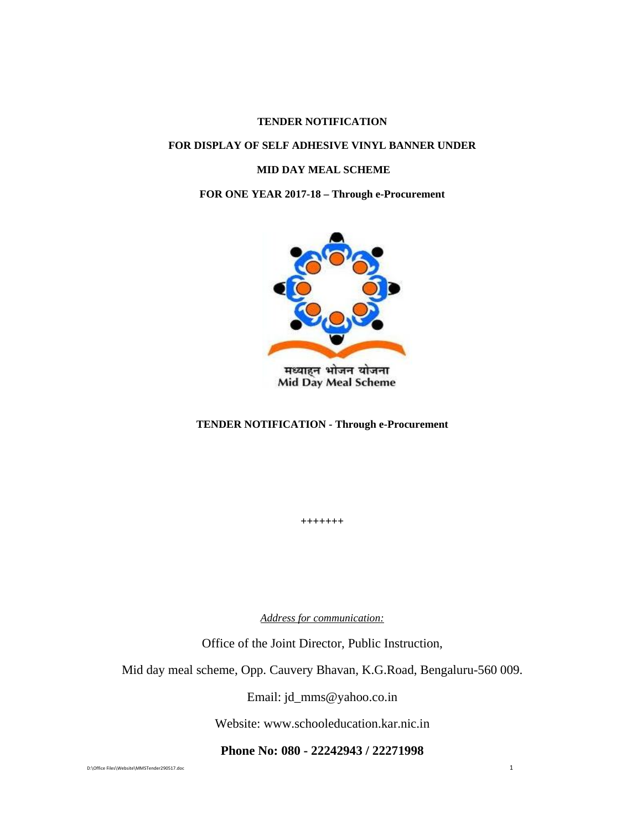## **TENDER NOTIFICATION**

## **FOR DISPLAY OF SELF ADHESIVE VINYL BANNER UNDER**

#### **MID DAY MEAL SCHEME**

#### **FOR ONE YEAR 2017-18 – Through e-Procurement**



**Mid Day Meal Scheme** 

#### **TENDER NOTIFICATION - Through e-Procurement**

**+++++++** 

*Address for communication:*

Office of the Joint Director, Public Instruction,

Mid day meal scheme, Opp. Cauvery Bhavan, K.G.Road, Bengaluru-560 009.

Email: jd\_mms@yahoo.co.in

Website: www.schooleducation.kar.nic.in

**Phone No: 080 - 22242943 / 22271998** 

D:\Office Files\Website\MMSTender290517.doc 1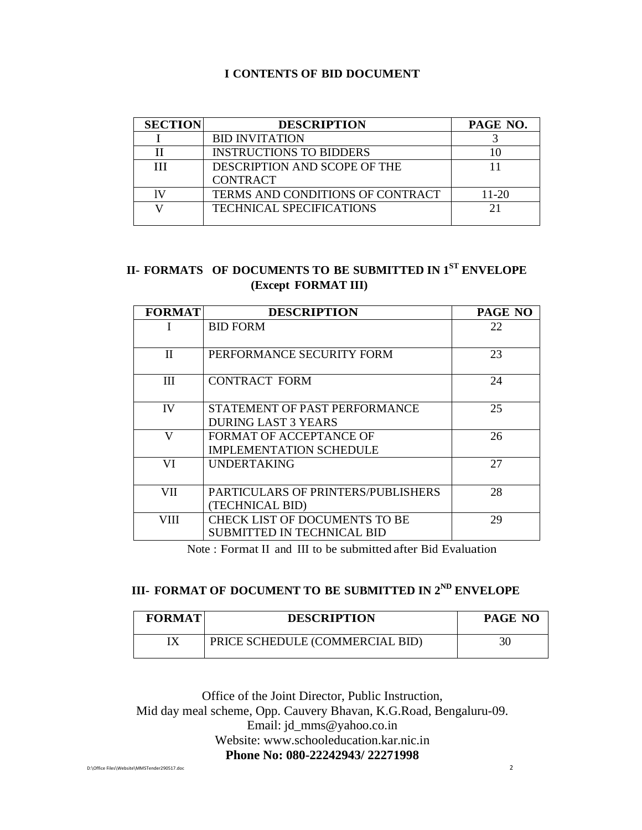## **I CONTENTS OF BID DOCUMENT**

| <b>SECTION</b> | <b>DESCRIPTION</b>               | PAGE NO. |
|----------------|----------------------------------|----------|
|                | <b>BID INVITATION</b>            |          |
|                | <b>INSTRUCTIONS TO BIDDERS</b>   |          |
| Ш              | DESCRIPTION AND SCOPE OF THE     |          |
|                | <b>CONTRACT</b>                  |          |
|                | TERMS AND CONDITIONS OF CONTRACT | 11-20    |
|                | <b>TECHNICAL SPECIFICATIONS</b>  |          |
|                |                                  |          |

# **II- FORMATS OF DOCUMENTS TO BE SUBMITTED IN 1ST ENVELOPE (Except FORMAT III)**

| <b>FORMAT</b> | <b>DESCRIPTION</b>                        | PAGE NO |
|---------------|-------------------------------------------|---------|
| I             | <b>BID FORM</b>                           | 22      |
|               |                                           |         |
| H             | PERFORMANCE SECURITY FORM                 | 23      |
| Ш             | <b>CONTRACT FORM</b>                      | 24      |
| IV            | STATEMENT OF PAST PERFORMANCE             | 25      |
|               | <b>DURING LAST 3 YEARS</b>                |         |
| V             | <b>FORMAT OF ACCEPTANCE OF</b>            | 26      |
|               | <b>IMPLEMENTATION SCHEDULE</b>            |         |
| VI            | <b>UNDERTAKING</b>                        | 27      |
| VII           | <b>PARTICULARS OF PRINTERS/PUBLISHERS</b> | 28      |
|               | (TECHNICAL BID)                           |         |
| VIII          | <b>CHECK LIST OF DOCUMENTS TO BE</b>      | 29      |
|               | <b>SUBMITTED IN TECHNICAL BID</b>         |         |

Note : Format II and III to be submitted after Bid Evaluation

# **III- FORMAT OF DOCUMENT TO BE SUBMITTED IN 2ND ENVELOPE**

| <b>FORMAT</b> | <b>DESCRIPTION</b>              | PAGE NO |
|---------------|---------------------------------|---------|
| IХ            | PRICE SCHEDULE (COMMERCIAL BID) |         |

Office of the Joint Director, Public Instruction, Mid day meal scheme, Opp. Cauvery Bhavan, K.G.Road, Bengaluru-09. Email: jd\_mms@yahoo.co.in Website: www.schooleducation.kar.nic.in **Phone No: 080-22242943/ 22271998** 

D:\Office Files\Website\MMSTender290517.doc 2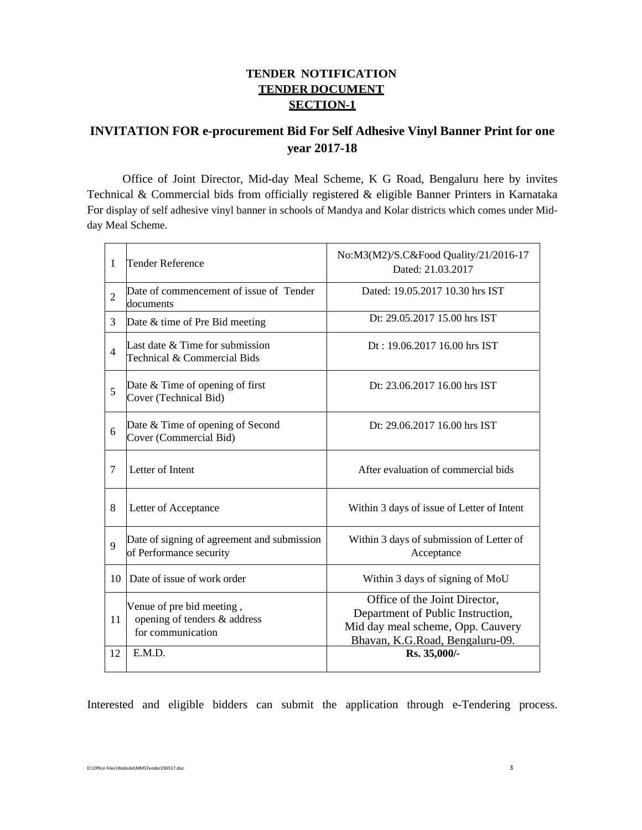# **TENDER NOTIFICATION TENDER DOCUMENT SECTION-1**

# **INVITATION FOR e-procurement Bid For Self Adhesive Vinyl Banner Print for one year 2017-18**

Office of Joint Director, Mid-day Meal Scheme, K G Road, Bengaluru here by invites Technical & Commercial bids from officially registered & eligible Banner Printers in Karnataka For display of self adhesive vinyl banner in schools of Mandya and Kolar districts which comes under Midday Meal Scheme.

| $\mathbf{1}$   | Tender Reference                                                                         | No:M3(M2)/S.C&Food Quality/21/2016-17<br>Dated: 21.03.2017                                                                                                 |  |
|----------------|------------------------------------------------------------------------------------------|------------------------------------------------------------------------------------------------------------------------------------------------------------|--|
| $\overline{2}$ | Date of commencement of issue of Tender<br>documents                                     | Dated: 19.05.2017 10.30 hrs IST                                                                                                                            |  |
| 3              | Date & time of Pre Bid meeting                                                           | Dt: 29.05.2017 15.00 hrs IST                                                                                                                               |  |
| $\overline{4}$ | Last date $&$ Time for submission<br>Technical & Commercial Bids                         | $Dt: 19.06201716.00$ hrs IST                                                                                                                               |  |
| 5              | Date & Time of opening of first<br>Cover (Technical Bid)                                 | Dt: 23.06.2017 16.00 hrs IST                                                                                                                               |  |
| 6              | Date & Time of opening of Second<br>Cover (Commercial Bid)                               | Dt: 29.06.2017 16.00 hrs IST                                                                                                                               |  |
| 7              | Letter of Intent                                                                         | After evaluation of commercial bids                                                                                                                        |  |
| 8              | Letter of Acceptance                                                                     | Within 3 days of issue of Letter of Intent                                                                                                                 |  |
| 9              | Date of signing of agreement and submission<br>of Performance security                   | Within 3 days of submission of Letter of<br>Acceptance                                                                                                     |  |
| 10             | Date of issue of work order                                                              | Within 3 days of signing of MoU                                                                                                                            |  |
| 11<br>12       | Venue of pre bid meeting,<br>opening of tenders & address<br>for communication<br>E.M.D. | Office of the Joint Director,<br>Department of Public Instruction,<br>Mid day meal scheme, Opp. Cauvery<br>Bhavan, K.G.Road, Bengaluru-09.<br>Rs. 35,000/- |  |
|                |                                                                                          |                                                                                                                                                            |  |

Interested and eligible bidders can submit the application through e-Tendering process.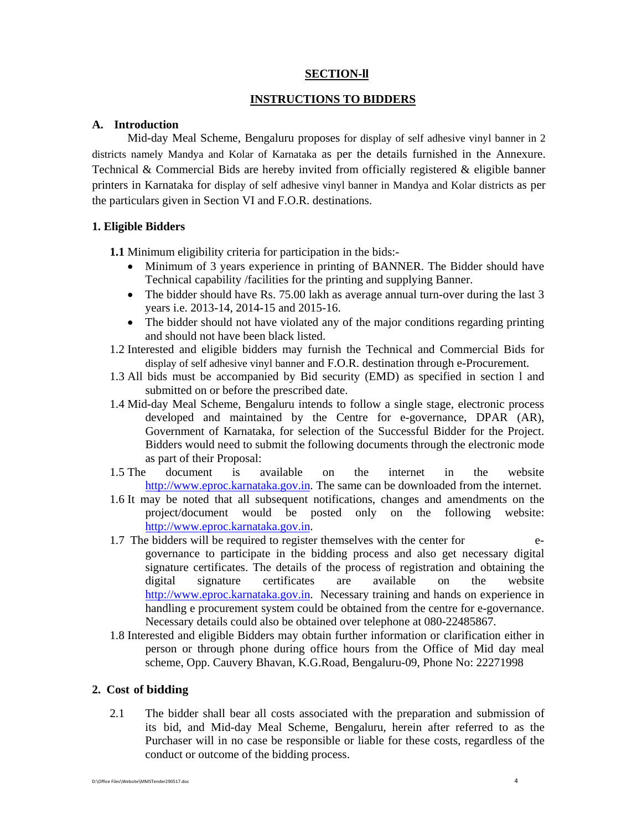### **SECTION-ll**

### **INSTRUCTIONS TO BIDDERS**

#### **A. Introduction**

Mid-day Meal Scheme, Bengaluru proposes for display of self adhesive vinyl banner in 2 districts namely Mandya and Kolar of Karnataka as per the details furnished in the Annexure. Technical & Commercial Bids are hereby invited from officially registered & eligible banner printers in Karnataka for display of self adhesive vinyl banner in Mandya and Kolar districts as per the particulars given in Section VI and F.O.R. destinations.

#### **1. Eligible Bidders**

**1.1** Minimum eligibility criteria for participation in the bids:-

- Minimum of 3 years experience in printing of BANNER. The Bidder should have Technical capability /facilities for the printing and supplying Banner.
- The bidder should have Rs. 75.00 lakh as average annual turn-over during the last 3 years i.e. 2013-14, 2014-15 and 2015-16.
- The bidder should not have violated any of the major conditions regarding printing and should not have been black listed.
- 1.2 Interested and eligible bidders may furnish the Technical and Commercial Bids for display of self adhesive vinyl banner and F.O.R. destination through e-Procurement.
- 1.3 All bids must be accompanied by Bid security (EMD) as specified in section l and submitted on or before the prescribed date.
- 1.4 Mid-day Meal Scheme, Bengaluru intends to follow a single stage, electronic process developed and maintained by the Centre for e-governance, DPAR (AR), Government of Karnataka, for selection of the Successful Bidder for the Project. Bidders would need to submit the following documents through the electronic mode as part of their Proposal:
- 1.5 The document is available on the internet in the website http://www.eproc.karnataka.gov.in. The same can be downloaded from the internet.
- 1.6 It may be noted that all subsequent notifications, changes and amendments on the project/document would be posted only on the following website: http://www.eproc.karnataka.gov.in.
- 1.7 The bidders will be required to register themselves with the center for egovernance to participate in the bidding process and also get necessary digital signature certificates. The details of the process of registration and obtaining the digital signature certificates are available on the website http://www.eproc.karnataka.gov.in. Necessary training and hands on experience in handling e procurement system could be obtained from the centre for e-governance. Necessary details could also be obtained over telephone at 080-22485867.
- 1.8 Interested and eligible Bidders may obtain further information or clarification either in person or through phone during office hours from the Office of Mid day meal scheme, Opp. Cauvery Bhavan, K.G.Road, Bengaluru-09, Phone No: 22271998

## **2. Cost of bidding**

2.1 The bidder shall bear all costs associated with the preparation and submission of its bid, and Mid-day Meal Scheme, Bengaluru, herein after referred to as the Purchaser will in no case be responsible or liable for these costs, regardless of the conduct or outcome of the bidding process.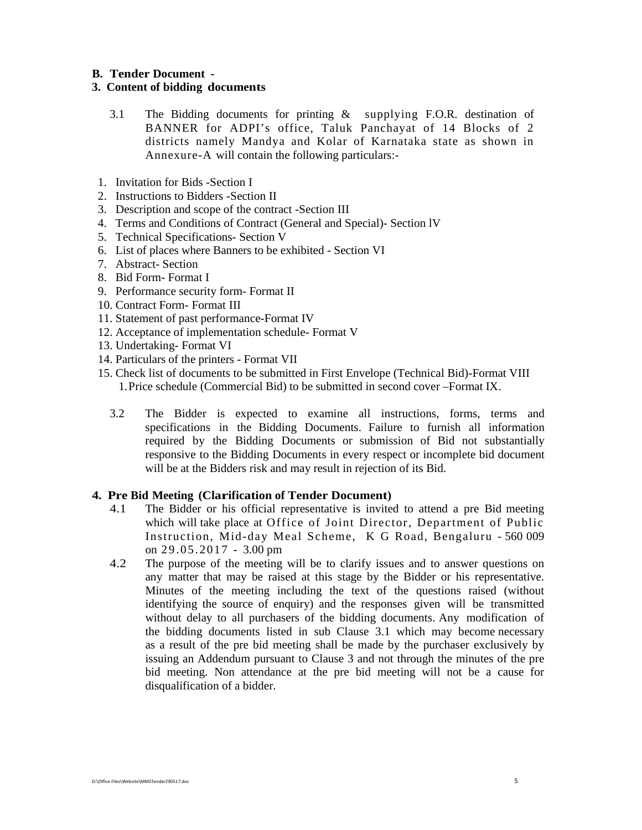#### **B. Tender Document -**

#### **3. Content of bidding documents**

- 3.1 The Bidding documents for printing & supplying F.O.R. destination of BANNER for ADPI's office, Taluk Panchayat of 14 Blocks of 2 districts namely Mandya and Kolar of Karnataka state as shown in Annexure-A will contain the following particulars:-
- 1. Invitation for Bids -Section I
- 2. Instructions to Bidders -Section II
- 3. Description and scope of the contract -Section III
- 4. Terms and Conditions of Contract (General and Special)- Section lV
- 5. Technical Specifications- Section V
- 6. List of places where Banners to be exhibited Section VI
- 7. Abstract- Section
- 8. Bid Form- Format I
- 9. Performance security form- Format II
- 10. Contract Form- Format III
- 11. Statement of past performance-Format IV
- 12. Acceptance of implementation schedule- Format V
- 13. Undertaking- Format VI
- 14. Particulars of the printers Format VII
- 15. Check list of documents to be submitted in First Envelope (Technical Bid)-Format VIII 1. Price schedule (Commercial Bid) to be submitted in second cover –Format IX.
	- 3.2 The Bidder is expected to examine all instructions, forms, terms and specifications in the Bidding Documents. Failure to furnish all information required by the Bidding Documents or submission of Bid not substantially responsive to the Bidding Documents in every respect or incomplete bid document will be at the Bidders risk and may result in rejection of its Bid.

## **4. Pre Bid Meeting (Clarification of Tender Document)**

- 4.1 The Bidder or his official representative is invited to attend a pre Bid meeting which will take place at Office of Joint Director, Department of Public Instruction, Mid-day Meal Scheme, K G Road, Bengaluru - 560 009 on 29.05.2017 - 3.00 pm
- 4.2 The purpose of the meeting will be to clarify issues and to answer questions on any matter that may be raised at this stage by the Bidder or his representative. Minutes of the meeting including the text of the questions raised (without identifying the source of enquiry) and the responses given will be transmitted without delay to all purchasers of the bidding documents. Any modification of the bidding documents listed in sub Clause 3.1 which may become necessary as a result of the pre bid meeting shall be made by the purchaser exclusively by issuing an Addendum pursuant to Clause 3 and not through the minutes of the pre bid meeting. Non attendance at the pre bid meeting will not be a cause for disqualification of a bidder.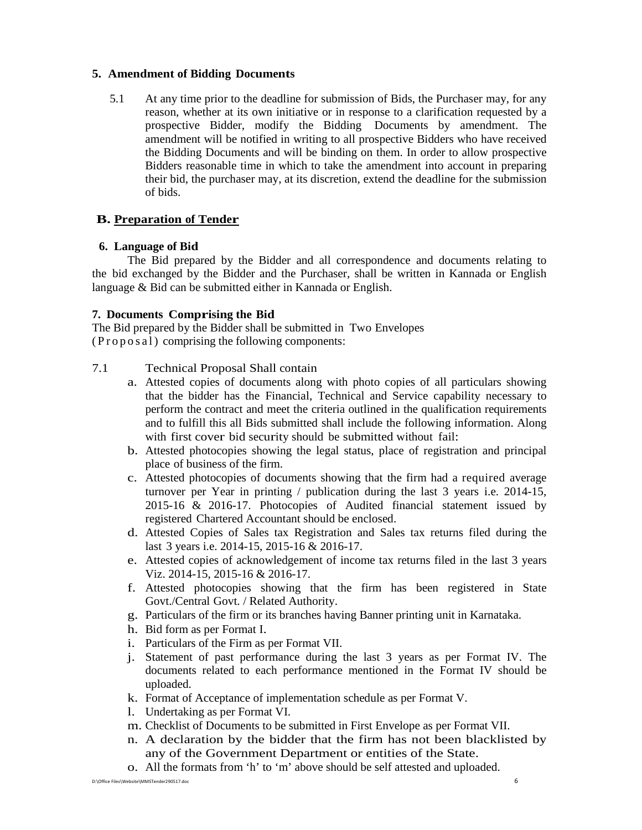### **5. Amendment of Bidding Documents**

5.1 At any time prior to the deadline for submission of Bids, the Purchaser may, for any reason, whether at its own initiative or in response to a clarification requested by a prospective Bidder, modify the Bidding Documents by amendment. The amendment will be notified in writing to all prospective Bidders who have received the Bidding Documents and will be binding on them. In order to allow prospective Bidders reasonable time in which to take the amendment into account in preparing their bid, the purchaser may, at its discretion, extend the deadline for the submission of bids.

## **B. Preparation of Tender**

## **6. Language of Bid**

The Bid prepared by the Bidder and all correspondence and documents relating to the bid exchanged by the Bidder and the Purchaser, shall be written in Kannada or English language & Bid can be submitted either in Kannada or English.

## **7. Documents Comprising the Bid**

The Bid prepared by the Bidder shall be submitted in Two Envelopes ( $Proofes al$ ) comprising the following components:

## 7.1 Technical Proposal Shall contain

- a. Attested copies of documents along with photo copies of all particulars showing that the bidder has the Financial, Technical and Service capability necessary to perform the contract and meet the criteria outlined in the qualification requirements and to fulfill this all Bids submitted shall include the following information. Along with first cover bid security should be submitted without fail:
- b. Attested photocopies showing the legal status, place of registration and principal place of business of the firm.
- c. Attested photocopies of documents showing that the firm had a required average turnover per Year in printing / publication during the last 3 years i.e. 2014-15, 2015-16 & 2016-17. Photocopies of Audited financial statement issued by registered Chartered Accountant should be enclosed.
- d. Attested Copies of Sales tax Registration and Sales tax returns filed during the last 3 years i.e. 2014-15, 2015-16 & 2016-17.
- e. Attested copies of acknowledgement of income tax returns filed in the last 3 years Viz. 2014-15, 2015-16 & 2016-17.
- f. Attested photocopies showing that the firm has been registered in State Govt./Central Govt. / Related Authority.
- g. Particulars of the firm or its branches having Banner printing unit in Karnataka.
- h. Bid form as per Format I.
- i. Particulars of the Firm as per Format VII.
- j. Statement of past performance during the last 3 years as per Format IV. The documents related to each performance mentioned in the Format IV should be uploaded.
- k. Format of Acceptance of implementation schedule as per Format V.
- l. Undertaking as per Format VI.
- m. Checklist of Documents to be submitted in First Envelope as per Format VII.
- n. A declaration by the bidder that the firm has not been blacklisted by any of the Government Department or entities of the State.
- o. All the formats from 'h' to 'm' above should be self attested and uploaded.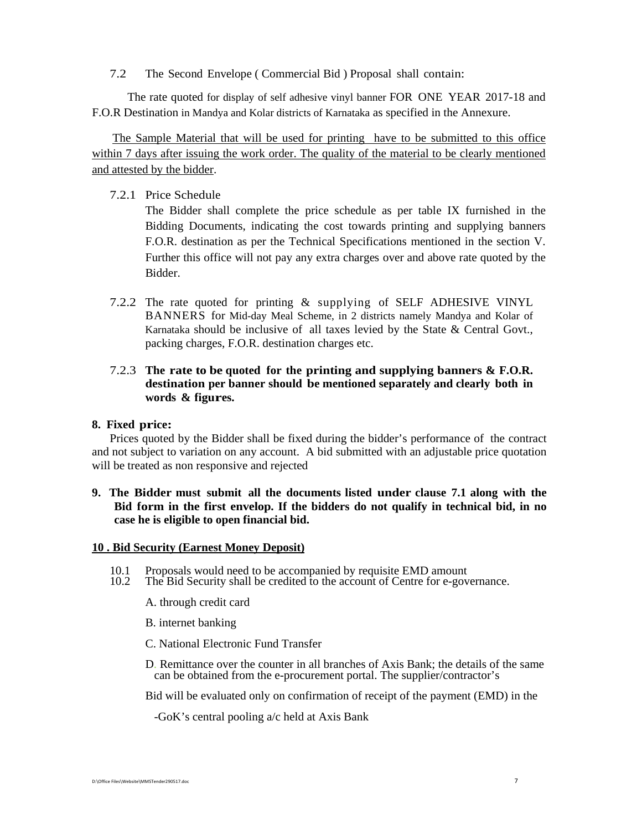7.2 The Second Envelope ( Commercial Bid ) Proposal shall contain:

The rate quoted for display of self adhesive vinyl banner FOR ONE YEAR 2017-18 and F.O.R Destination in Mandya and Kolar districts of Karnataka as specified in the Annexure.

The Sample Material that will be used for printing have to be submitted to this office within 7 days after issuing the work order. The quality of the material to be clearly mentioned and attested by the bidder.

## 7.2.1 Price Schedule

The Bidder shall complete the price schedule as per table IX furnished in the Bidding Documents, indicating the cost towards printing and supplying banners F.O.R. destination as per the Technical Specifications mentioned in the section V. Further this office will not pay any extra charges over and above rate quoted by the Bidder.

7.2.2 The rate quoted for printing & supplying of SELF ADHESIVE VINYL BANNERS for Mid-day Meal Scheme, in 2 districts namely Mandya and Kolar of Karnataka should be inclusive of all taxes levied by the State & Central Govt., packing charges, F.O.R. destination charges etc.

## 7.2.3 **The rate to be quoted for the printing and supplying banners & F.O.R. destination per banner should be mentioned separately and clearly both in words & figures.**

#### **8. Fixed price:**

Prices quoted by the Bidder shall be fixed during the bidder's performance of the contract and not subject to variation on any account. A bid submitted with an adjustable price quotation will be treated as non responsive and rejected

## **9. The Bidder must submit all the documents listed under clause 7.1 along with the Bid form in the first envelop. If the bidders do not qualify in technical bid, in no case he is eligible to open financial bid.**

#### **10 . Bid Security (Earnest Money Deposit)**

- 10.1 Proposals would need to be accompanied by requisite EMD amount 10.2 The Bid Security shall be credited to the account of Centre for e-gov
- The Bid Security shall be credited to the account of Centre for e-governance.
	- A. through credit card
	- B. internet banking
	- C. National Electronic Fund Transfer
	- D. Remittance over the counter in all branches of Axis Bank; the details of the same can be obtained from the e-procurement portal. The supplier/contractor's

Bid will be evaluated only on confirmation of receipt of the payment (EMD) in the

-GoK's central pooling a/c held at Axis Bank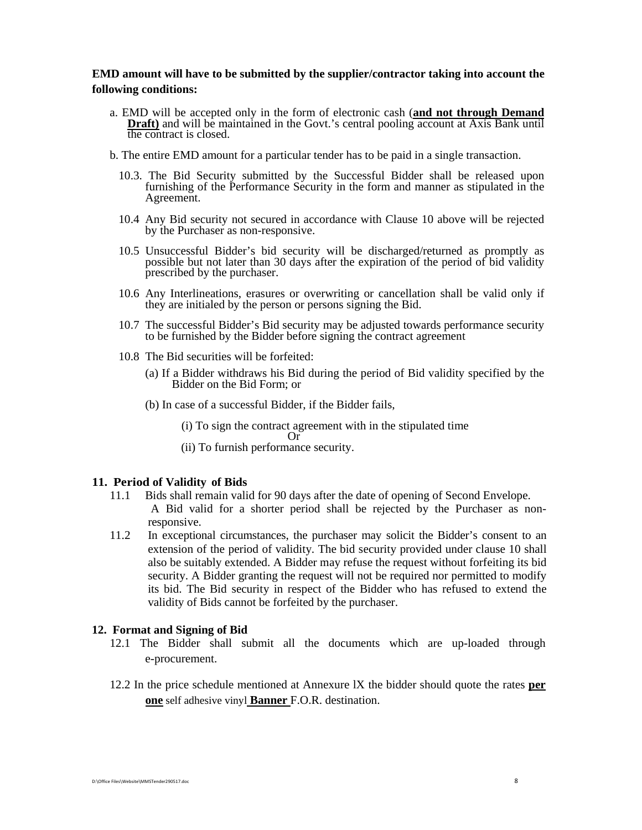## **EMD amount will have to be submitted by the supplier/contractor taking into account the following conditions:**

- a. EMD will be accepted only in the form of electronic cash (**and not through Demand Draft**) and will be maintained in the Govt.'s central pooling account at Axis Bank until the contract is closed.
- b. The entire EMD amount for a particular tender has to be paid in a single transaction.
	- 10.3. The Bid Security submitted by the Successful Bidder shall be released upon furnishing of the Performance Security in the form and manner as stipulated in the Agreement.
	- 10.4 Any Bid security not secured in accordance with Clause 10 above will be rejected by the Purchaser as non-responsive.
	- 10.5 Unsuccessful Bidder's bid security will be discharged/returned as promptly as possible but not later than 30 days after the expiration of the period of bid validity prescribed by the purchaser.
	- 10.6 Any Interlineations, erasures or overwriting or cancellation shall be valid only if they are initialed by the person or persons signing the Bid.
	- 10.7 The successful Bidder's Bid security may be adjusted towards performance security to be furnished by the Bidder before signing the contract agreement
	- 10.8 The Bid securities will be forfeited:
		- (a) If a Bidder withdraws his Bid during the period of Bid validity specified by the Bidder on the Bid Form; or
		- (b) In case of a successful Bidder, if the Bidder fails,
			- (i) To sign the contract agreement with in the stipulated time
		- or<sup>o</sup>
			- (ii) To furnish performance security.

#### **11. Period of Validity of Bids**

- 11.1 Bids shall remain valid for 90 days after the date of opening of Second Envelope. A Bid valid for a shorter period shall be rejected by the Purchaser as nonresponsive.
- 11.2 In exceptional circumstances, the purchaser may solicit the Bidder's consent to an extension of the period of validity. The bid security provided under clause 10 shall also be suitably extended. A Bidder may refuse the request without forfeiting its bid security. A Bidder granting the request will not be required nor permitted to modify its bid. The Bid security in respect of the Bidder who has refused to extend the validity of Bids cannot be forfeited by the purchaser.

#### **12. Format and Signing of Bid**

- 12.1 The Bidder shall submit all the documents which are up-loaded through e-procurement.
- 12.2 In the price schedule mentioned at Annexure lX the bidder should quote the rates **per one** self adhesive vinyl **Banner** F.O.R. destination.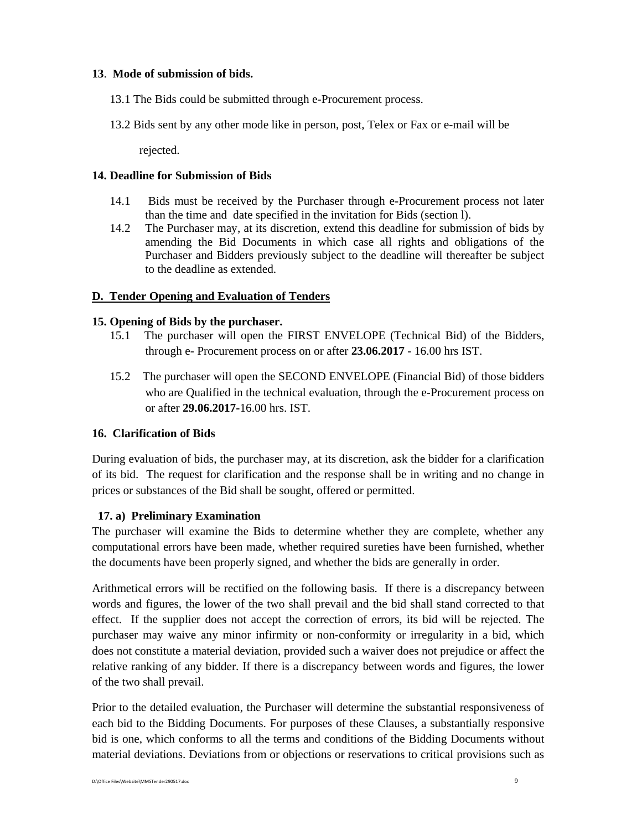## **13**. **Mode of submission of bids.**

- 13.1 The Bids could be submitted through e-Procurement process.
- 13.2 Bids sent by any other mode like in person, post, Telex or Fax or e-mail will be

rejected.

## **14. Deadline for Submission of Bids**

- 14.1 Bids must be received by the Purchaser through e-Procurement process not later than the time and date specified in the invitation for Bids (section l).
- 14.2 The Purchaser may, at its discretion, extend this deadline for submission of bids by amending the Bid Documents in which case all rights and obligations of the Purchaser and Bidders previously subject to the deadline will thereafter be subject to the deadline as extended.

## **D. Tender Opening and Evaluation of Tenders**

## **15. Opening of Bids by the purchaser.**

- 15.1 The purchaser will open the FIRST ENVELOPE (Technical Bid) of the Bidders, through e- Procurement process on or after **23.06.2017** - 16.00 hrs IST.
- 15.2 The purchaser will open the SECOND ENVELOPE (Financial Bid) of those bidders who are Qualified in the technical evaluation, through the e-Procurement process on or after **29.06.2017-**16.00 hrs. IST.

## **16. Clarification of Bids**

During evaluation of bids, the purchaser may, at its discretion, ask the bidder for a clarification of its bid. The request for clarification and the response shall be in writing and no change in prices or substances of the Bid shall be sought, offered or permitted.

## **17. a) Preliminary Examination**

The purchaser will examine the Bids to determine whether they are complete, whether any computational errors have been made, whether required sureties have been furnished, whether the documents have been properly signed, and whether the bids are generally in order.

Arithmetical errors will be rectified on the following basis. If there is a discrepancy between words and figures, the lower of the two shall prevail and the bid shall stand corrected to that effect. If the supplier does not accept the correction of errors, its bid will be rejected. The purchaser may waive any minor infirmity or non-conformity or irregularity in a bid, which does not constitute a material deviation, provided such a waiver does not prejudice or affect the relative ranking of any bidder. If there is a discrepancy between words and figures, the lower of the two shall prevail.

Prior to the detailed evaluation, the Purchaser will determine the substantial responsiveness of each bid to the Bidding Documents. For purposes of these Clauses, a substantially responsive bid is one, which conforms to all the terms and conditions of the Bidding Documents without material deviations. Deviations from or objections or reservations to critical provisions such as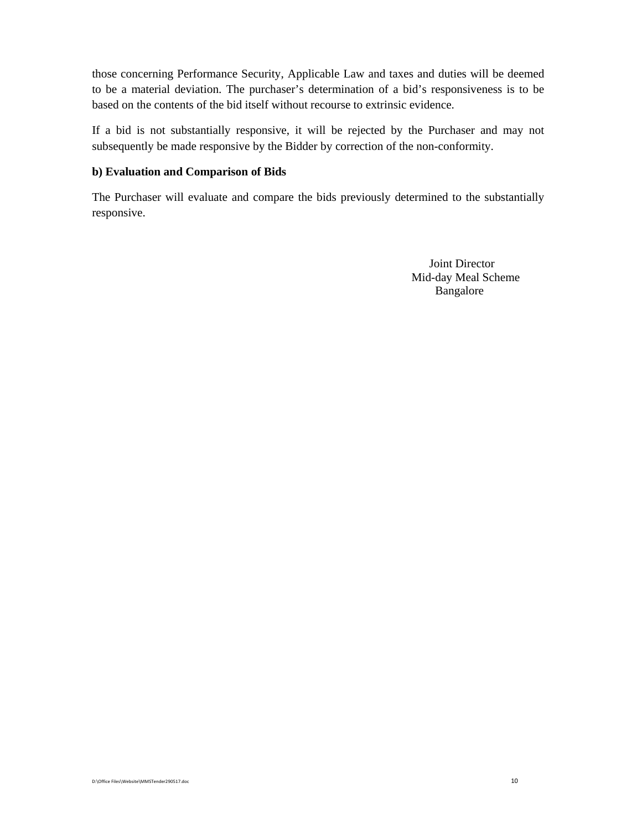those concerning Performance Security, Applicable Law and taxes and duties will be deemed to be a material deviation. The purchaser's determination of a bid's responsiveness is to be based on the contents of the bid itself without recourse to extrinsic evidence.

If a bid is not substantially responsive, it will be rejected by the Purchaser and may not subsequently be made responsive by the Bidder by correction of the non-conformity.

## **b) Evaluation and Comparison of Bids**

The Purchaser will evaluate and compare the bids previously determined to the substantially responsive.

> Joint Director Mid-day Meal Scheme Bangalore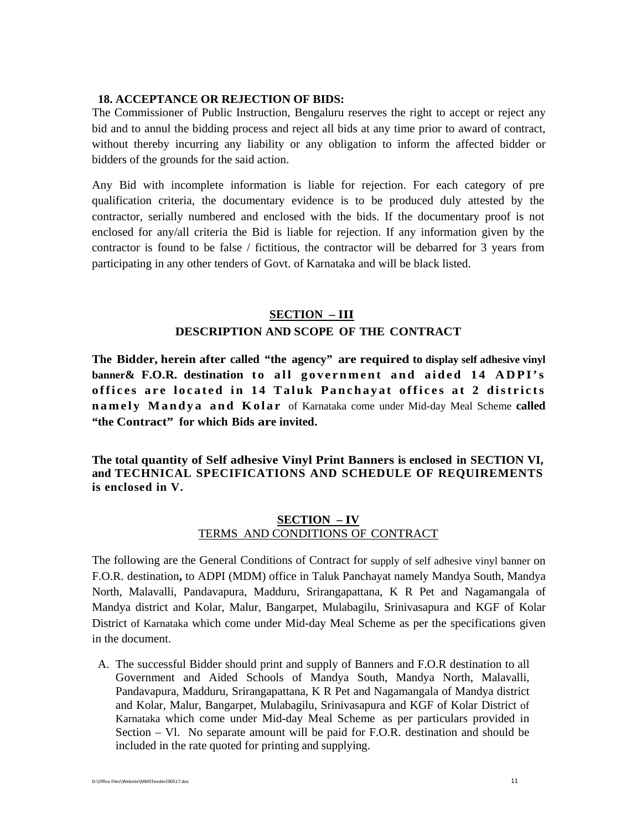#### **18. ACCEPTANCE OR REJECTION OF BIDS:**

The Commissioner of Public Instruction, Bengaluru reserves the right to accept or reject any bid and to annul the bidding process and reject all bids at any time prior to award of contract, without thereby incurring any liability or any obligation to inform the affected bidder or bidders of the grounds for the said action.

Any Bid with incomplete information is liable for rejection. For each category of pre qualification criteria, the documentary evidence is to be produced duly attested by the contractor, serially numbered and enclosed with the bids. If the documentary proof is not enclosed for any/all criteria the Bid is liable for rejection. If any information given by the contractor is found to be false / fictitious, the contractor will be debarred for 3 years from participating in any other tenders of Govt. of Karnataka and will be black listed.

#### **SECTION – III**

## **DESCRIPTION AND SCOPE OF THE CONTRACT**

**The Bidder, herein after called "the agency" are required to display self adhesive vinyl**  banner & F.O.R. destination to all government and aided 14 ADPI's **offices are located in 14 Taluk Panchayat offices at 2 districts namely Mandya and Kolar** of Karnataka come under Mid-day Meal Scheme **called "the Contract" for which Bids are invited.** 

**The total quantity of Self adhesive Vinyl Print Banners is enclosed in SECTION VI, and TECHNICAL SPECIFICATIONS AND SCHEDULE OF REQUIREMENTS is enclosed in V.** 

## **SECTION – IV** TERMS AND CONDITIONS OF CONTRACT

The following are the General Conditions of Contract for supply of self adhesive vinyl banner on F.O.R. destination**,** to ADPI (MDM) office in Taluk Panchayat namely Mandya South, Mandya North, Malavalli, Pandavapura, Madduru, Srirangapattana, K R Pet and Nagamangala of Mandya district and Kolar, Malur, Bangarpet, Mulabagilu, Srinivasapura and KGF of Kolar District of Karnataka which come under Mid-day Meal Scheme as per the specifications given in the document.

A. The successful Bidder should print and supply of Banners and F.O.R destination to all Government and Aided Schools of Mandya South, Mandya North, Malavalli, Pandavapura, Madduru, Srirangapattana, K R Pet and Nagamangala of Mandya district and Kolar, Malur, Bangarpet, Mulabagilu, Srinivasapura and KGF of Kolar District of Karnataka which come under Mid-day Meal Scheme as per particulars provided in Section – Vl. No separate amount will be paid for F.O.R. destination and should be included in the rate quoted for printing and supplying.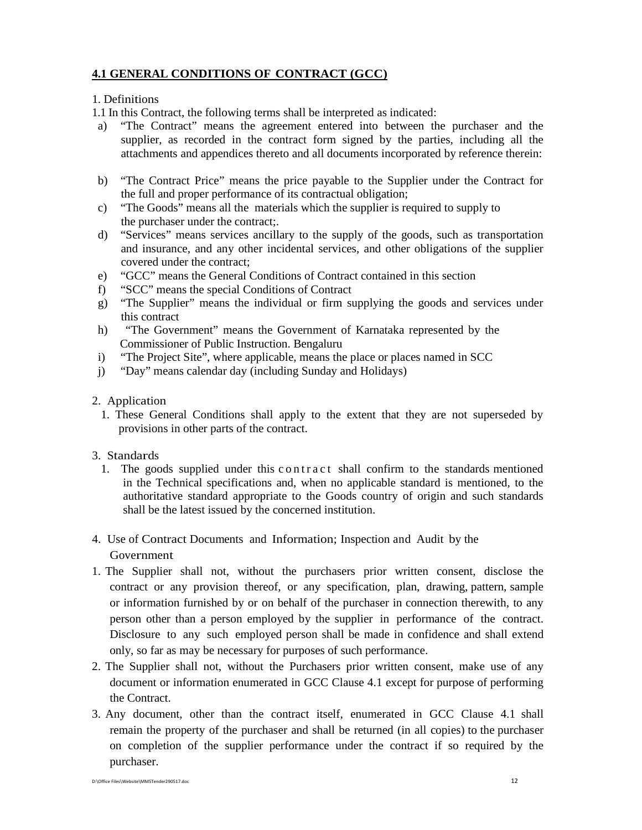# **4.1 GENERAL CONDITIONS OF CONTRACT (GCC)**

## 1. Definitions

1.1 In this Contract, the following terms shall be interpreted as indicated:

- a) "The Contract" means the agreement entered into between the purchaser and the supplier, as recorded in the contract form signed by the parties, including all the attachments and appendices thereto and all documents incorporated by reference therein:
- b) "The Contract Price" means the price payable to the Supplier under the Contract for the full and proper performance of its contractual obligation;
- c) "The Goods" means all the materials which the supplier is required to supply to the purchaser under the contract;.
- d) "Services" means services ancillary to the supply of the goods, such as transportation and insurance, and any other incidental services, and other obligations of the supplier covered under the contract;
- e) "GCC" means the General Conditions of Contract contained in this section
- f) "SCC" means the special Conditions of Contract
- g) "The Supplier" means the individual or firm supplying the goods and services under this contract
- h) "The Government" means the Government of Karnataka represented by the Commissioner of Public Instruction. Bengaluru
- i) "The Project Site", where applicable, means the place or places named in SCC
- j) "Day" means calendar day (including Sunday and Holidays)
- 2. Application
	- 1. These General Conditions shall apply to the extent that they are not superseded by provisions in other parts of the contract.

## 3. Standards

- 1. The goods supplied under this contract shall confirm to the standards mentioned in the Technical specifications and, when no applicable standard is mentioned, to the authoritative standard appropriate to the Goods country of origin and such standards shall be the latest issued by the concerned institution.
- 4. Use of Contract Documents and Information; Inspection and Audit by the Government
- 1. The Supplier shall not, without the purchasers prior written consent, disclose the contract or any provision thereof, or any specification, plan, drawing, pattern, sample or information furnished by or on behalf of the purchaser in connection therewith, to any person other than a person employed by the supplier in performance of the contract. Disclosure to any such employed person shall be made in confidence and shall extend only, so far as may be necessary for purposes of such performance.
- 2. The Supplier shall not, without the Purchasers prior written consent, make use of any document or information enumerated in GCC Clause 4.1 except for purpose of performing the Contract.
- 3. Any document, other than the contract itself, enumerated in GCC Clause 4.1 shall remain the property of the purchaser and shall be returned (in all copies) to the purchaser on completion of the supplier performance under the contract if so required by the purchaser.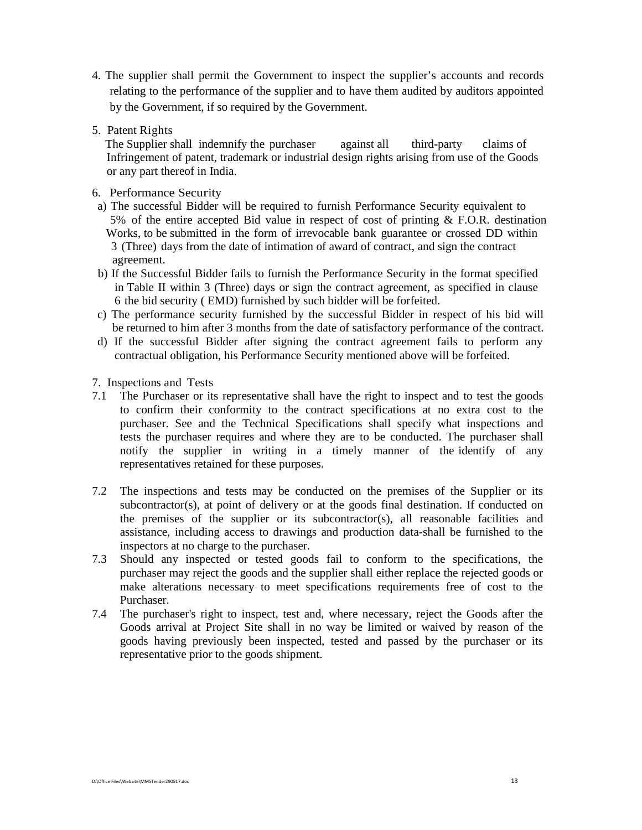- 4. The supplier shall permit the Government to inspect the supplier's accounts and records relating to the performance of the supplier and to have them audited by auditors appointed by the Government, if so required by the Government.
- 5. Patent Rights

 The Supplier shall indemnify the purchaser against all third-party claims of Infringement of patent, trademark or industrial design rights arising from use of the Goods or any part thereof in India.

- 6. Performance Security
- a) The successful Bidder will be required to furnish Performance Security equivalent to 5% of the entire accepted Bid value in respect of cost of printing & F.O.R. destination Works, to be submitted in the form of irrevocable bank guarantee or crossed DD within 3 (Three) days from the date of intimation of award of contract, and sign the contract agreement.
- b) If the Successful Bidder fails to furnish the Performance Security in the format specified in Table II within 3 (Three) days or sign the contract agreement, as specified in clause 6 the bid security ( EMD) furnished by such bidder will be forfeited.
- c) The performance security furnished by the successful Bidder in respect of his bid will be returned to him after 3 months from the date of satisfactory performance of the contract.
- d) If the successful Bidder after signing the contract agreement fails to perform any contractual obligation, his Performance Security mentioned above will be forfeited.

7. Inspections and Tests

- 7.1 The Purchaser or its representative shall have the right to inspect and to test the goods to confirm their conformity to the contract specifications at no extra cost to the purchaser. See and the Technical Specifications shall specify what inspections and tests the purchaser requires and where they are to be conducted. The purchaser shall notify the supplier in writing in a timely manner of the identify of any representatives retained for these purposes.
- 7.2 The inspections and tests may be conducted on the premises of the Supplier or its subcontractor(s), at point of delivery or at the goods final destination. If conducted on the premises of the supplier or its subcontractor(s), all reasonable facilities and assistance, including access to drawings and production data-shall be furnished to the inspectors at no charge to the purchaser.
- 7.3 Should any inspected or tested goods fail to conform to the specifications, the purchaser may reject the goods and the supplier shall either replace the rejected goods or make alterations necessary to meet specifications requirements free of cost to the Purchaser.
- 7.4 The purchaser's right to inspect, test and, where necessary, reject the Goods after the Goods arrival at Project Site shall in no way be limited or waived by reason of the goods having previously been inspected, tested and passed by the purchaser or its representative prior to the goods shipment.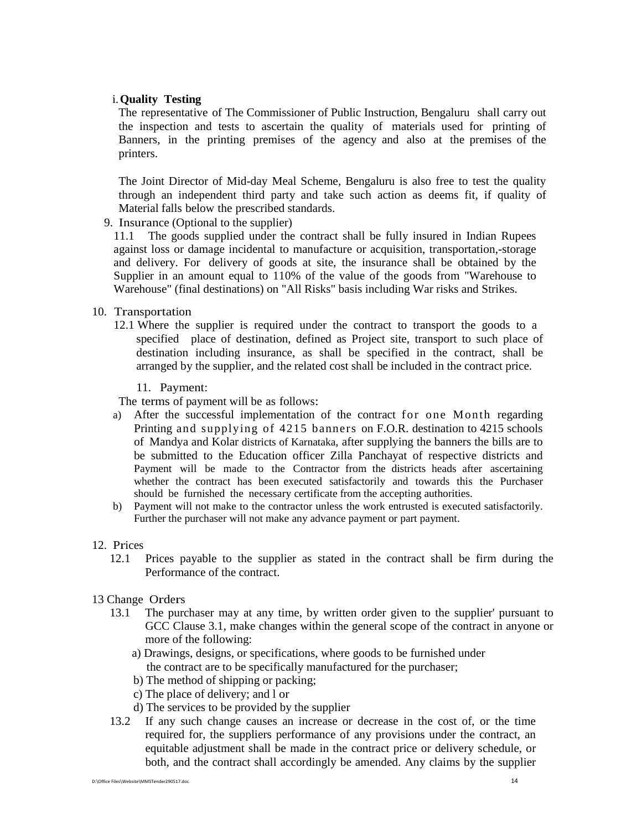### i.**Quality Testing**

The representative of The Commissioner of Public Instruction, Bengaluru shall carry out the inspection and tests to ascertain the quality of materials used for printing of Banners, in the printing premises of the agency and also at the premises of the printers.

The Joint Director of Mid-day Meal Scheme, Bengaluru is also free to test the quality through an independent third party and take such action as deems fit, if quality of Material falls below the prescribed standards.

9. Insurance (Optional to the supplier)

11.1 The goods supplied under the contract shall be fully insured in Indian Rupees against loss or damage incidental to manufacture or acquisition, transportation,-storage and delivery. For delivery of goods at site, the insurance shall be obtained by the Supplier in an amount equal to 110% of the value of the goods from "Warehouse to Warehouse" (final destinations) on "All Risks" basis including War risks and Strikes.

## 10. Transportation

- 12.1 Where the supplier is required under the contract to transport the goods to a specified place of destination, defined as Project site, transport to such place of destination including insurance, as shall be specified in the contract, shall be arranged by the supplier, and the related cost shall be included in the contract price.
	- 11. Payment:

The terms of payment will be as follows:

- a) After the successful implementation of the contract for one Month regarding Printing and supplying of 4215 banners on F.O.R. destination to 4215 schools of Mandya and Kolar districts of Karnataka, after supplying the banners the bills are to be submitted to the Education officer Zilla Panchayat of respective districts and Payment will be made to the Contractor from the districts heads after ascertaining whether the contract has been executed satisfactorily and towards this the Purchaser should be furnished the necessary certificate from the accepting authorities.
- b) Payment will not make to the contractor unless the work entrusted is executed satisfactorily. Further the purchaser will not make any advance payment or part payment.
- 12. Prices
	- 12.1 Prices payable to the supplier as stated in the contract shall be firm during the Performance of the contract.
- 13 Change Orders
	- 13.1 The purchaser may at any time, by written order given to the supplier' pursuant to GCC Clause 3.1, make changes within the general scope of the contract in anyone or more of the following:
		- a) Drawings, designs, or specifications, where goods to be furnished under the contract are to be specifically manufactured for the purchaser;
		- b) The method of shipping or packing;
		- c) The place of delivery; and l or
		- d) The services to be provided by the supplier
	- 13.2 If any such change causes an increase or decrease in the cost of, or the time required for, the suppliers performance of any provisions under the contract, an equitable adjustment shall be made in the contract price or delivery schedule, or both, and the contract shall accordingly be amended. Any claims by the supplier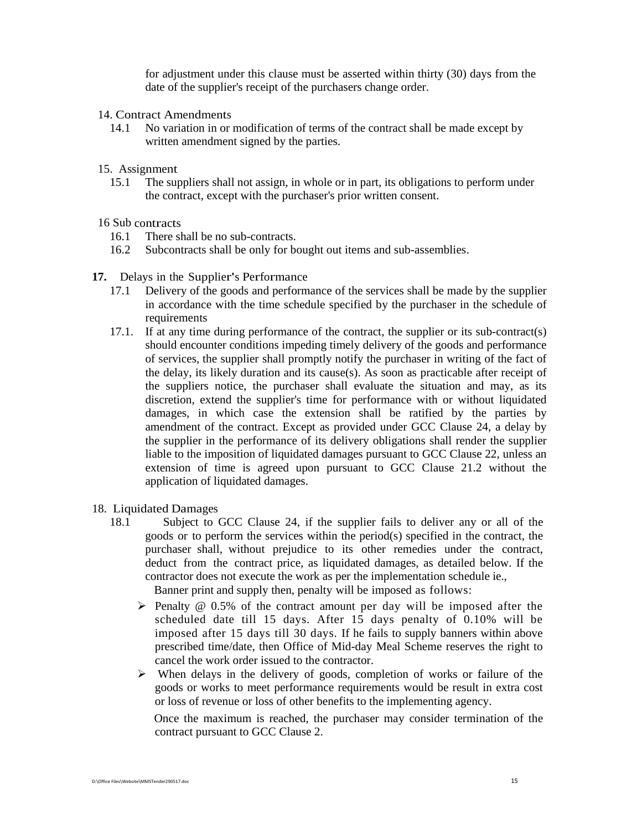for adjustment under this clause must be asserted within thirty (30) days from the date of the supplier's receipt of the purchasers change order.

- 14. Contract Amendments
	- 14.1 No variation in or modification of terms of the contract shall be made except by written amendment signed by the parties.
- 15. Assignment
	- 15.1 The suppliers shall not assign, in whole or in part, its obligations to perform under the contract, except with the purchaser's prior written consent.

#### 16 Sub contracts

- 16.1 There shall be no sub-contracts.
- 16.2 Subcontracts shall be only for bought out items and sub-assemblies.
- **17.** Delays in the Supplier's Performance
	- 17.1 Delivery of the goods and performance of the services shall be made by the supplier in accordance with the time schedule specified by the purchaser in the schedule of requirements
	- 17.1. If at any time during performance of the contract, the supplier or its sub-contract(s) should encounter conditions impeding timely delivery of the goods and performance of services, the supplier shall promptly notify the purchaser in writing of the fact of the delay, its likely duration and its cause(s). As soon as practicable after receipt of the suppliers notice, the purchaser shall evaluate the situation and may, as its discretion, extend the supplier's time for performance with or without liquidated damages, in which case the extension shall be ratified by the parties by amendment of the contract. Except as provided under GCC Clause 24, a delay by the supplier in the performance of its delivery obligations shall render the supplier liable to the imposition of liquidated damages pursuant to GCC Clause 22, unless an extension of time is agreed upon pursuant to GCC Clause 21.2 without the application of liquidated damages.
- 18. Liquidated Damages
	- 18.1 Subject to GCC Clause 24, if the supplier fails to deliver any or all of the goods or to perform the services within the period(s) specified in the contract, the purchaser shall, without prejudice to its other remedies under the contract, deduct from the contract price, as liquidated damages, as detailed below. If the contractor does not execute the work as per the implementation schedule ie., Banner print and supply then, penalty will be imposed as follows:
		- $\triangleright$  Penalty @ 0.5% of the contract amount per day will be imposed after the scheduled date till 15 days. After 15 days penalty of 0.10% will be imposed after 15 days till 30 days. If he fails to supply banners within above prescribed time/date, then Office of Mid-day Meal Scheme reserves the right to cancel the work order issued to the contractor.
		- $\triangleright$  When delays in the delivery of goods, completion of works or failure of the goods or works to meet performance requirements would be result in extra cost or loss of revenue or loss of other benefits to the implementing agency.

 Once the maximum is reached, the purchaser may consider termination of the contract pursuant to GCC Clause 2.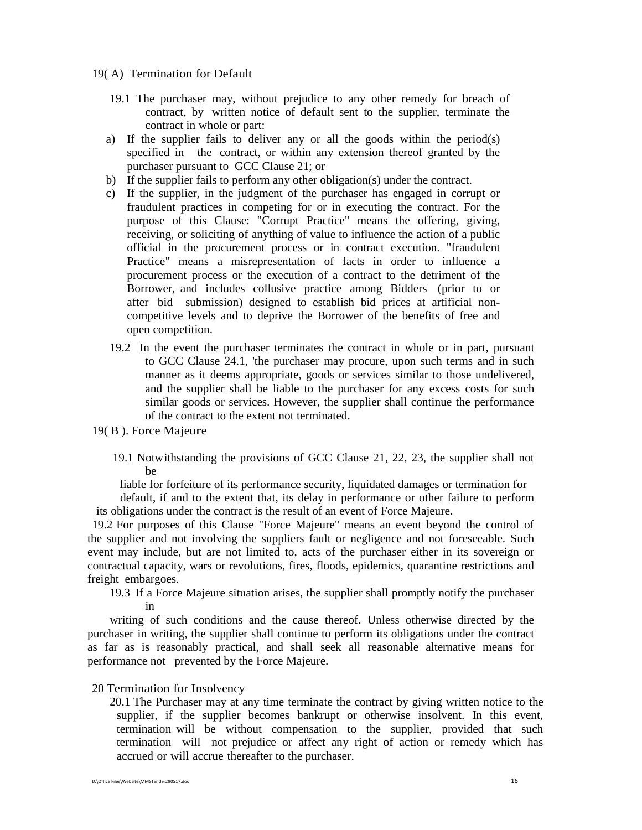- 19( A) Termination for Default
	- 19.1 The purchaser may, without prejudice to any other remedy for breach of contract, by written notice of default sent to the supplier, terminate the contract in whole or part:
	- a) If the supplier fails to deliver any or all the goods within the period(s) specified in the contract, or within any extension thereof granted by the purchaser pursuant to GCC Clause 21; or
	- b) If the supplier fails to perform any other obligation(s) under the contract.
	- c) If the supplier, in the judgment of the purchaser has engaged in corrupt or fraudulent practices in competing for or in executing the contract. For the purpose of this Clause: "Corrupt Practice" means the offering, giving, receiving, or soliciting of anything of value to influence the action of a public official in the procurement process or in contract execution. "fraudulent Practice" means a misrepresentation of facts in order to influence a procurement process or the execution of a contract to the detriment of the Borrower, and includes collusive practice among Bidders (prior to or after bid submission) designed to establish bid prices at artificial noncompetitive levels and to deprive the Borrower of the benefits of free and open competition.
	- 19.2 In the event the purchaser terminates the contract in whole or in part, pursuant to GCC Clause 24.1, 'the purchaser may procure, upon such terms and in such manner as it deems appropriate, goods or services similar to those undelivered, and the supplier shall be liable to the purchaser for any excess costs for such similar goods or services. However, the supplier shall continue the performance of the contract to the extent not terminated.
- 19( B ). Force Majeure
	- 19.1 Notwithstanding the provisions of GCC Clause 21, 22, 23, the supplier shall not be

 liable for forfeiture of its performance security, liquidated damages or termination for default, if and to the extent that, its delay in performance or other failure to perform

its obligations under the contract is the result of an event of Force Majeure.

 19.2 For purposes of this Clause "Force Majeure" means an event beyond the control of the supplier and not involving the suppliers fault or negligence and not foreseeable. Such event may include, but are not limited to, acts of the purchaser either in its sovereign or contractual capacity, wars or revolutions, fires, floods, epidemics, quarantine restrictions and freight embargoes.

19.3 If a Force Majeure situation arises, the supplier shall promptly notify the purchaser in

 writing of such conditions and the cause thereof. Unless otherwise directed by the purchaser in writing, the supplier shall continue to perform its obligations under the contract as far as is reasonably practical, and shall seek all reasonable alternative means for performance not prevented by the Force Majeure.

#### 20 Termination for Insolvency

20.1 The Purchaser may at any time terminate the contract by giving written notice to the supplier, if the supplier becomes bankrupt or otherwise insolvent. In this event, termination will be without compensation to the supplier, provided that such termination will not prejudice or affect any right of action or remedy which has accrued or will accrue thereafter to the purchaser.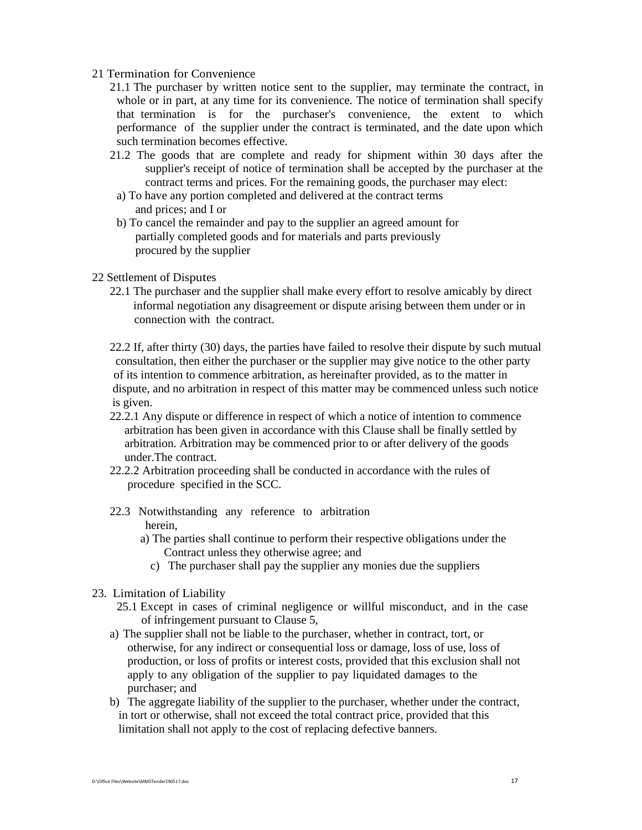#### 21 Termination for Convenience

- 21.1 The purchaser by written notice sent to the supplier, may terminate the contract, in whole or in part, at any time for its convenience. The notice of termination shall specify that termination is for the purchaser's convenience, the extent to which performance of the supplier under the contract is terminated, and the date upon which such termination becomes effective.
- 21.2 The goods that are complete and ready for shipment within 30 days after the supplier's receipt of notice of termination shall be accepted by the purchaser at the contract terms and prices. For the remaining goods, the purchaser may elect:
- a) To have any portion completed and delivered at the contract terms and prices; and I or
- b) To cancel the remainder and pay to the supplier an agreed amount for partially completed goods and for materials and parts previously procured by the supplier

#### 22 Settlement of Disputes

- 22.1 The purchaser and the supplier shall make every effort to resolve amicably by direct informal negotiation any disagreement or dispute arising between them under or in connection with the contract.
- 22.2 If, after thirty (30) days, the parties have failed to resolve their dispute by such mutual consultation, then either the purchaser or the supplier may give notice to the other party of its intention to commence arbitration, as hereinafter provided, as to the matter in dispute, and no arbitration in respect of this matter may be commenced unless such notice is given.
- 22.2.1 Any dispute or difference in respect of which a notice of intention to commence arbitration has been given in accordance with this Clause shall be finally settled by arbitration. Arbitration may be commenced prior to or after delivery of the goods under.The contract.
- 22.2.2 Arbitration proceeding shall be conducted in accordance with the rules of procedure specified in the SCC.
- 22.3 Notwithstanding any reference to arbitration herein,
	- a) The parties shall continue to perform their respective obligations under the Contract unless they otherwise agree; and
		- c) The purchaser shall pay the supplier any monies due the suppliers
- 23. Limitation of Liability
	- 25.1 Except in cases of criminal negligence or willful misconduct, and in the case of infringement pursuant to Clause 5,
	- a) The supplier shall not be liable to the purchaser, whether in contract, tort, or otherwise, for any indirect or consequential loss or damage, loss of use, loss of production, or loss of profits or interest costs, provided that this exclusion shall not apply to any obligation of the supplier to pay liquidated damages to the purchaser; and
	- b) The aggregate liability of the supplier to the purchaser, whether under the contract, in tort or otherwise, shall not exceed the total contract price, provided that this limitation shall not apply to the cost of replacing defective banners.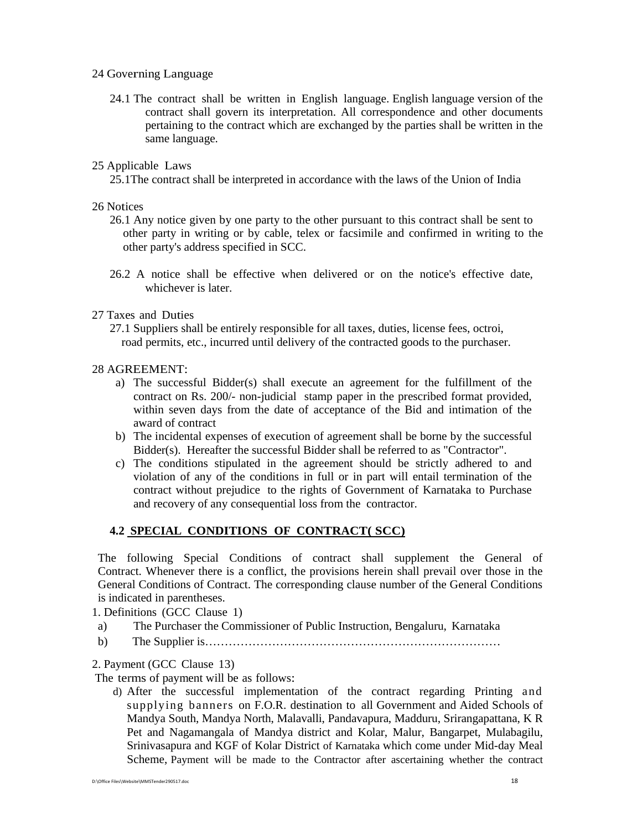#### 24 Governing Language

24.1 The contract shall be written in English language. English language version of the contract shall govern its interpretation. All correspondence and other documents pertaining to the contract which are exchanged by the parties shall be written in the same language.

### 25 Applicable Laws

25.1The contract shall be interpreted in accordance with the laws of the Union of India

### 26 Notices

- 26.1 Any notice given by one party to the other pursuant to this contract shall be sent to other party in writing or by cable, telex or facsimile and confirmed in writing to the other party's address specified in SCC.
- 26.2 A notice shall be effective when delivered or on the notice's effective date, whichever is later.

#### 27 Taxes and Duties

27.1 Suppliers shall be entirely responsible for all taxes, duties, license fees, octroi, road permits, etc., incurred until delivery of the contracted goods to the purchaser.

#### 28 AGREEMENT:

- a) The successful Bidder(s) shall execute an agreement for the fulfillment of the contract on Rs. 200/- non-judicial stamp paper in the prescribed format provided, within seven days from the date of acceptance of the Bid and intimation of the award of contract
- b) The incidental expenses of execution of agreement shall be borne by the successful Bidder(s). Hereafter the successful Bidder shall be referred to as "Contractor".
- c) The conditions stipulated in the agreement should be strictly adhered to and violation of any of the conditions in full or in part will entail termination of the contract without prejudice to the rights of Government of Karnataka to Purchase and recovery of any consequential loss from the contractor.

## **4.2 SPECIAL CONDITIONS OF CONTRACT( SCC)**

The following Special Conditions of contract shall supplement the General of Contract. Whenever there is a conflict, the provisions herein shall prevail over those in the General Conditions of Contract. The corresponding clause number of the General Conditions is indicated in parentheses.

1. Definitions (GCC Clause 1)

- a) The Purchaser the Commissioner of Public Instruction, Bengaluru, Karnataka
- b) The Supplier is…………………………………………………………………

## 2. Payment (GCC Clause 13)

The terms of payment will be as follows:

d) After the successful implementation of the contract regarding Printing and supplying banners on F.O.R. destination to all Government and Aided Schools of Mandya South, Mandya North, Malavalli, Pandavapura, Madduru, Srirangapattana, K R Pet and Nagamangala of Mandya district and Kolar, Malur, Bangarpet, Mulabagilu, Srinivasapura and KGF of Kolar District of Karnataka which come under Mid-day Meal Scheme, Payment will be made to the Contractor after ascertaining whether the contract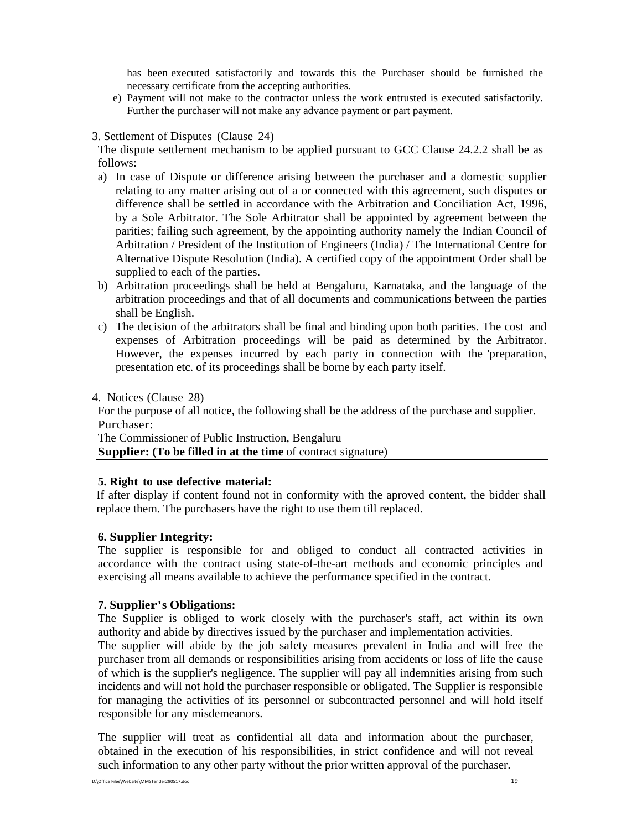has been executed satisfactorily and towards this the Purchaser should be furnished the necessary certificate from the accepting authorities.

e) Payment will not make to the contractor unless the work entrusted is executed satisfactorily. Further the purchaser will not make any advance payment or part payment.

#### 3. Settlement of Disputes (Clause 24)

The dispute settlement mechanism to be applied pursuant to GCC Clause 24.2.2 shall be as follows:

- a) In case of Dispute or difference arising between the purchaser and a domestic supplier relating to any matter arising out of a or connected with this agreement, such disputes or difference shall be settled in accordance with the Arbitration and Conciliation Act, 1996, by a Sole Arbitrator. The Sole Arbitrator shall be appointed by agreement between the parities; failing such agreement, by the appointing authority namely the Indian Council of Arbitration / President of the Institution of Engineers (India) / The International Centre for Alternative Dispute Resolution (India). A certified copy of the appointment Order shall be supplied to each of the parties.
- b) Arbitration proceedings shall be held at Bengaluru, Karnataka, and the language of the arbitration proceedings and that of all documents and communications between the parties shall be English.
- c) The decision of the arbitrators shall be final and binding upon both parities. The cost and expenses of Arbitration proceedings will be paid as determined by the Arbitrator. However, the expenses incurred by each party in connection with the 'preparation, presentation etc. of its proceedings shall be borne by each party itself.

4. Notices (Clause 28)

For the purpose of all notice, the following shall be the address of the purchase and supplier. Purchaser:

The Commissioner of Public Instruction, Bengaluru **Supplier:** (To be filled in at the time of contract signature)

#### **5. Right to use defective material:**

If after display if content found not in conformity with the aproved content, the bidder shall replace them. The purchasers have the right to use them till replaced.

## **6. Supplier Integrity:**

The supplier is responsible for and obliged to conduct all contracted activities in accordance with the contract using state-of-the-art methods and economic principles and exercising all means available to achieve the performance specified in the contract.

## **7. Supplier's Obligations:**

The Supplier is obliged to work closely with the purchaser's staff, act within its own authority and abide by directives issued by the purchaser and implementation activities.

The supplier will abide by the job safety measures prevalent in India and will free the purchaser from all demands or responsibilities arising from accidents or loss of life the cause of which is the supplier's negligence. The supplier will pay all indemnities arising from such incidents and will not hold the purchaser responsible or obligated. The Supplier is responsible for managing the activities of its personnel or subcontracted personnel and will hold itself responsible for any misdemeanors.

The supplier will treat as confidential all data and information about the purchaser, obtained in the execution of his responsibilities, in strict confidence and will not reveal such information to any other party without the prior written approval of the purchaser.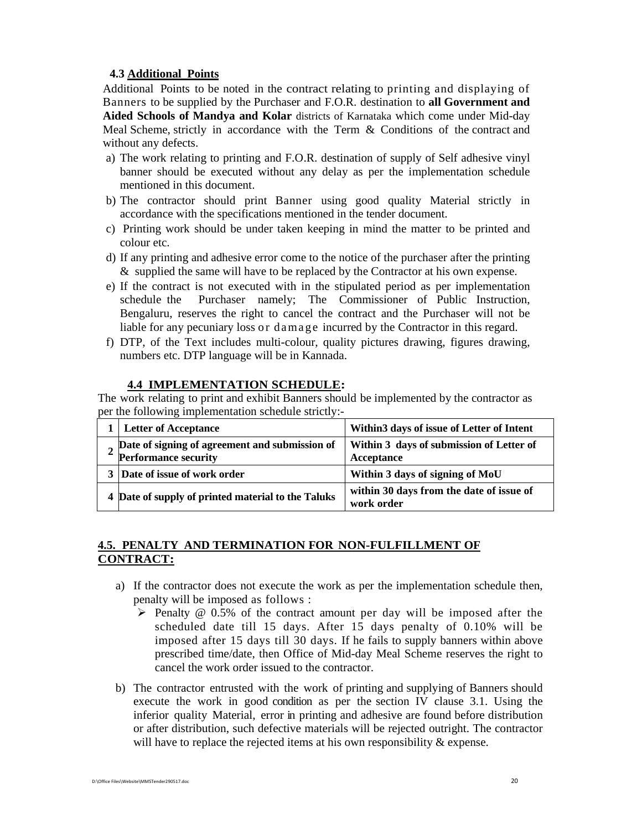## **4.3 Additional Points**

Additional Points to be noted in the contract relating to printing and displaying of Banners to be supplied by the Purchaser and F.O.R. destination to **all Government and Aided Schools of Mandya and Kolar** districts of Karnataka which come under Mid-day Meal Scheme, strictly in accordance with the Term & Conditions of the contract and without any defects.

- a) The work relating to printing and F.O.R. destination of supply of Self adhesive vinyl banner should be executed without any delay as per the implementation schedule mentioned in this document.
- b) The contractor should print Banner using good quality Material strictly in accordance with the specifications mentioned in the tender document.
- c) Printing work should be under taken keeping in mind the matter to be printed and colour etc.
- d) If any printing and adhesive error come to the notice of the purchaser after the printing & supplied the same will have to be replaced by the Contractor at his own expense.
- e) If the contract is not executed with in the stipulated period as per implementation schedule the Purchaser namely; The Commissioner of Public Instruction, Bengaluru, reserves the right to cancel the contract and the Purchaser will not be liable for any pecuniary loss or damage incurred by the Contractor in this regard.
- f) DTP, of the Text includes multi-colour, quality pictures drawing, figures drawing, numbers etc. DTP language will be in Kannada.

## **4.4 IMPLEMENTATION SCHEDULE:**

The work relating to print and exhibit Banners should be implemented by the contractor as per the following implementation schedule strictly:-

| <b>Letter of Acceptance</b>                                                   | Within3 days of issue of Letter of Intent              |
|-------------------------------------------------------------------------------|--------------------------------------------------------|
| Date of signing of agreement and submission of<br><b>Performance security</b> | Within 3 days of submission of Letter of<br>Acceptance |
| Date of issue of work order                                                   | Within 3 days of signing of MoU                        |
| 4 Date of supply of printed material to the Taluks                            | within 30 days from the date of issue of<br>work order |

## **4.5. PENALTY AND TERMINATION FOR NON-FULFILLMENT OF CONTRACT:**

- a) If the contractor does not execute the work as per the implementation schedule then, penalty will be imposed as follows :
	- $\triangleright$  Penalty @ 0.5% of the contract amount per day will be imposed after the scheduled date till 15 days. After 15 days penalty of 0.10% will be imposed after 15 days till 30 days. If he fails to supply banners within above prescribed time/date, then Office of Mid-day Meal Scheme reserves the right to cancel the work order issued to the contractor.
- b) The contractor entrusted with the work of printing and supplying of Banners should execute the work in good condition as per the section IV clause 3.1. Using the inferior quality Material, error in printing and adhesive are found before distribution or after distribution, such defective materials will be rejected outright. The contractor will have to replace the rejected items at his own responsibility  $\&$  expense.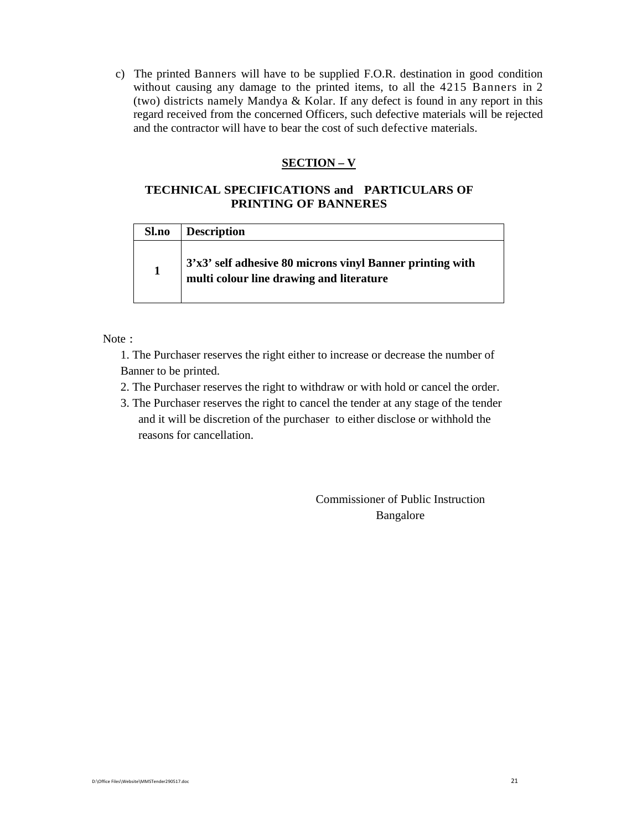c) The printed Banners will have to be supplied F.O.R. destination in good condition without causing any damage to the printed items, to all the 4215 Banners in 2 (two) districts namely Mandya & Kolar. If any defect is found in any report in this regard received from the concerned Officers, such defective materials will be rejected and the contractor will have to bear the cost of such defective materials.

## **SECTION – V**

## **TECHNICAL SPECIFICATIONS and PARTICULARS OF PRINTING OF BANNERES**

| <b>Sl.no</b> | <b>Description</b>                                                                                      |
|--------------|---------------------------------------------------------------------------------------------------------|
|              | $3'x3'$ self adhesive 80 microns vinyl Banner printing with<br>multi colour line drawing and literature |

Note :

1. The Purchaser reserves the right either to increase or decrease the number of Banner to be printed.

- 2. The Purchaser reserves the right to withdraw or with hold or cancel the order.
- 3. The Purchaser reserves the right to cancel the tender at any stage of the tender and it will be discretion of the purchaser to either disclose or withhold the reasons for cancellation.

Commissioner of Public Instruction Bangalore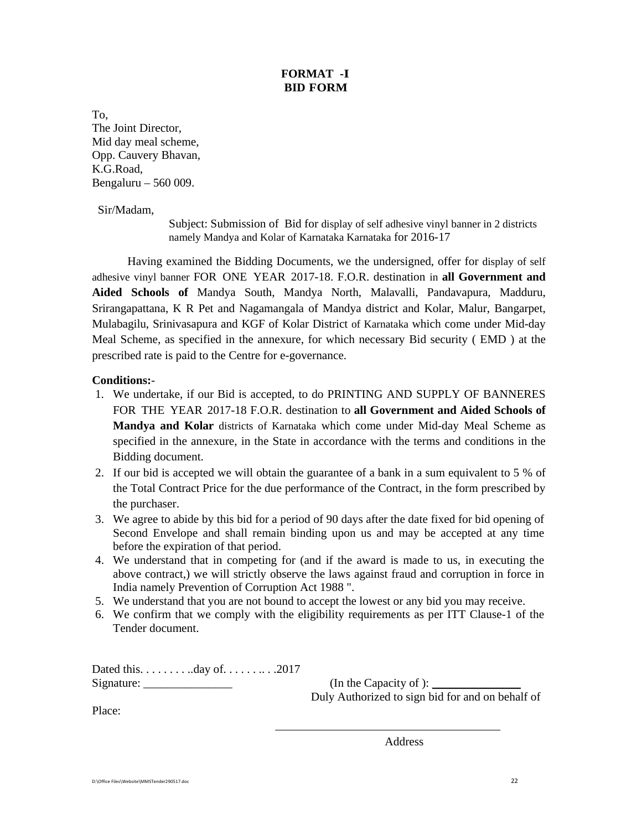## **FORMAT -I BID FORM**

To, The Joint Director, Mid day meal scheme, Opp. Cauvery Bhavan, K.G.Road, Bengaluru – 560 009.

Sir/Madam,

Subject: Submission of Bid for display of self adhesive vinyl banner in 2 districts namely Mandya and Kolar of Karnataka Karnataka for 2016-17

Having examined the Bidding Documents, we the undersigned, offer for display of self adhesive vinyl banner FOR ONE YEAR 2017-18. F.O.R. destination in **all Government and Aided Schools of** Mandya South, Mandya North, Malavalli, Pandavapura, Madduru, Srirangapattana, K R Pet and Nagamangala of Mandya district and Kolar, Malur, Bangarpet, Mulabagilu, Srinivasapura and KGF of Kolar District of Karnataka which come under Mid-day Meal Scheme, as specified in the annexure, for which necessary Bid security ( EMD ) at the prescribed rate is paid to the Centre for e-governance.

## **Conditions:**-

- 1. We undertake, if our Bid is accepted, to do PRINTING AND SUPPLY OF BANNERES FOR THE YEAR 2017-18 F.O.R. destination to **all Government and Aided Schools of Mandya and Kolar** districts of Karnataka which come under Mid-day Meal Scheme as specified in the annexure, in the State in accordance with the terms and conditions in the Bidding document.
- 2. If our bid is accepted we will obtain the guarantee of a bank in a sum equivalent to 5 % of the Total Contract Price for the due performance of the Contract, in the form prescribed by the purchaser.
- 3. We agree to abide by this bid for a period of 90 days after the date fixed for bid opening of Second Envelope and shall remain binding upon us and may be accepted at any time before the expiration of that period.
- 4. We understand that in competing for (and if the award is made to us, in executing the above contract,) we will strictly observe the laws against fraud and corruption in force in India namely Prevention of Corruption Act 1988 ".
- 5. We understand that you are not bound to accept the lowest or any bid you may receive.

 $\overline{a}$ 

6. We confirm that we comply with the eligibility requirements as per ITT Clause-1 of the Tender document.

Dated this. . . . . . . . ..day of. . . . . . .. . .2017 Signature: \_\_\_\_\_\_\_\_\_\_\_\_\_\_\_ (In the Capacity of ): \_\_\_\_\_\_\_\_\_\_\_\_\_\_\_

Duly Authorized to sign bid for and on behalf of

Place:

**Address**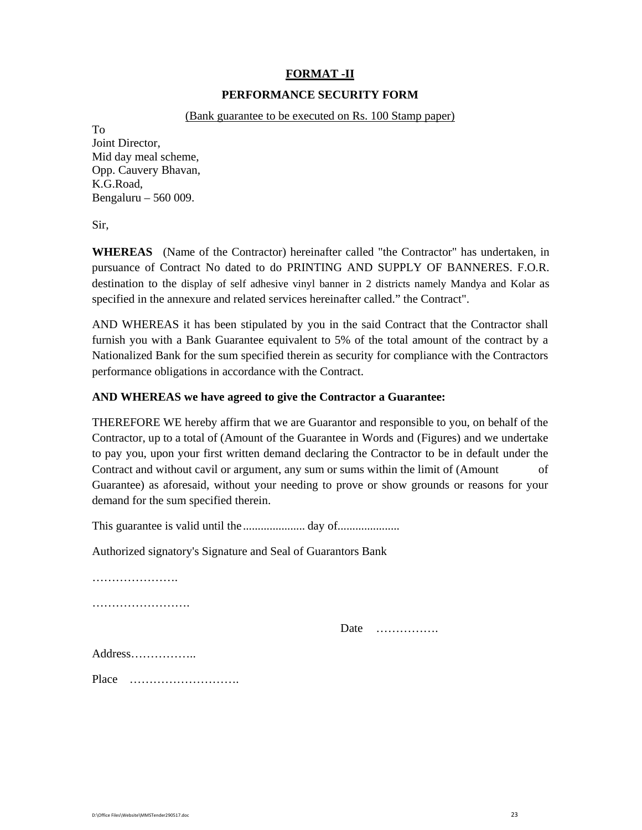# **FORMAT -II**

## **PERFORMANCE SECURITY FORM**

### (Bank guarantee to be executed on Rs. 100 Stamp paper)

To

Joint Director, Mid day meal scheme, Opp. Cauvery Bhavan, K.G.Road, Bengaluru – 560 009.

Sir,

**WHEREAS** (Name of the Contractor) hereinafter called "the Contractor" has undertaken, in pursuance of Contract No dated to do PRINTING AND SUPPLY OF BANNERES. F.O.R. destination to the display of self adhesive vinyl banner in 2 districts namely Mandya and Kolar as specified in the annexure and related services hereinafter called." the Contract".

AND WHEREAS it has been stipulated by you in the said Contract that the Contractor shall furnish you with a Bank Guarantee equivalent to 5% of the total amount of the contract by a Nationalized Bank for the sum specified therein as security for compliance with the Contractors performance obligations in accordance with the Contract.

## **AND WHEREAS we have agreed to give the Contractor a Guarantee:**

THEREFORE WE hereby affirm that we are Guarantor and responsible to you, on behalf of the Contractor, up to a total of (Amount of the Guarantee in Words and (Figures) and we undertake to pay you, upon your first written demand declaring the Contractor to be in default under the Contract and without cavil or argument, any sum or sums within the limit of (Amount of Guarantee) as aforesaid, without your needing to prove or show grounds or reasons for your demand for the sum specified therein.

This guarantee is valid until the ..................... day of.....................

Authorized signatory's Signature and Seal of Guarantors Bank

…………………………

……………………………

Date …………….

Address……………..

Place ……………………….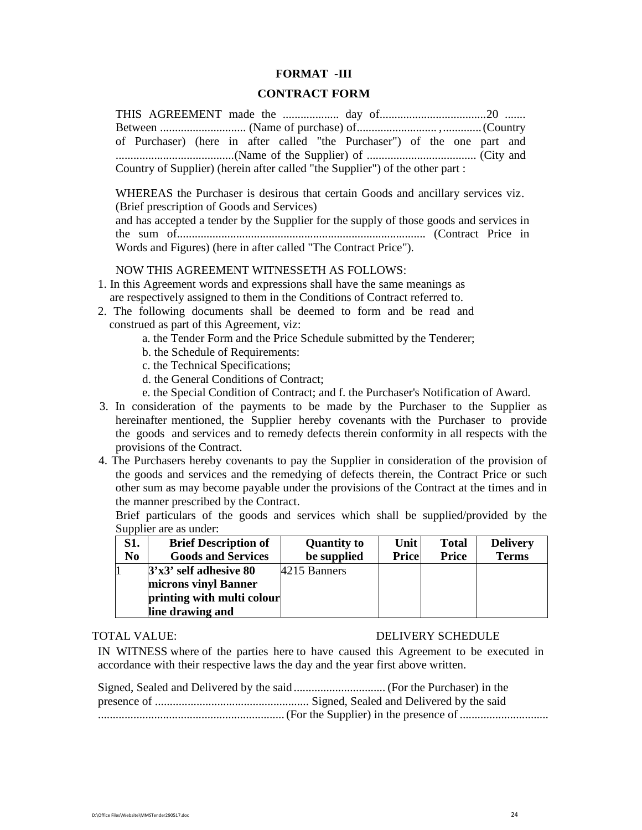#### **FORMAT -III**

#### **CONTRACT FORM**

THIS AGREEMENT made the ................... day of....................................20 ....... Between ............................. (Name of purchase) of........................... , ............. (Country of Purchaser) (here in after called "the Purchaser") of the one part and ........................................(Name of the Supplier) of ..................................... (City and Country of Supplier) (herein after called "the Supplier") of the other part :

WHEREAS the Purchaser is desirous that certain Goods and ancillary services viz. (Brief prescription of Goods and Services) and has accepted a tender by the Supplier for the supply of those goods and services in the sum of.................................................................................... (Contract Price in Words and Figures) (here in after called "The Contract Price").

NOW THIS AGREEMENT WITNESSETH AS FOLLOWS:

- 1. In this Agreement words and expressions shall have the same meanings as are respectively assigned to them in the Conditions of Contract referred to.
- 2. The following documents shall be deemed to form and be read and construed as part of this Agreement, viz:
	- a. the Tender Form and the Price Schedule submitted by the Tenderer;
	- b. the Schedule of Requirements:
	- c. the Technical Specifications;
	- d. the General Conditions of Contract;
	- e. the Special Condition of Contract; and f. the Purchaser's Notification of Award.
- 3. In consideration of the payments to be made by the Purchaser to the Supplier as hereinafter mentioned, the Supplier hereby covenants with the Purchaser to provide the goods and services and to remedy defects therein conformity in all respects with the provisions of the Contract.
- 4. The Purchasers hereby covenants to pay the Supplier in consideration of the provision of the goods and services and the remedying of defects therein, the Contract Price or such other sum as may become payable under the provisions of the Contract at the times and in the manner prescribed by the Contract.

Brief particulars of the goods and services which shall be supplied/provided by the Supplier are as under:

| S1.<br>N <sub>0</sub> | <b>Brief Description of</b><br><b>Goods and Services</b> | <b>Quantity to</b><br>be supplied | Unit<br><b>Price</b> | <b>Total</b><br><b>Price</b> | <b>Delivery</b><br><b>Terms</b> |
|-----------------------|----------------------------------------------------------|-----------------------------------|----------------------|------------------------------|---------------------------------|
|                       | $3'x3'$ self adhesive 80                                 | 4215 Banners                      |                      |                              |                                 |
|                       | microns vinyl Banner                                     |                                   |                      |                              |                                 |
|                       | printing with multi colour                               |                                   |                      |                              |                                 |
|                       | line drawing and                                         |                                   |                      |                              |                                 |

#### TOTAL VALUE: DELIVERY SCHEDULE

IN WITNESS where of the parties here to have caused this Agreement to be executed in accordance with their respective laws the day and the year first above written.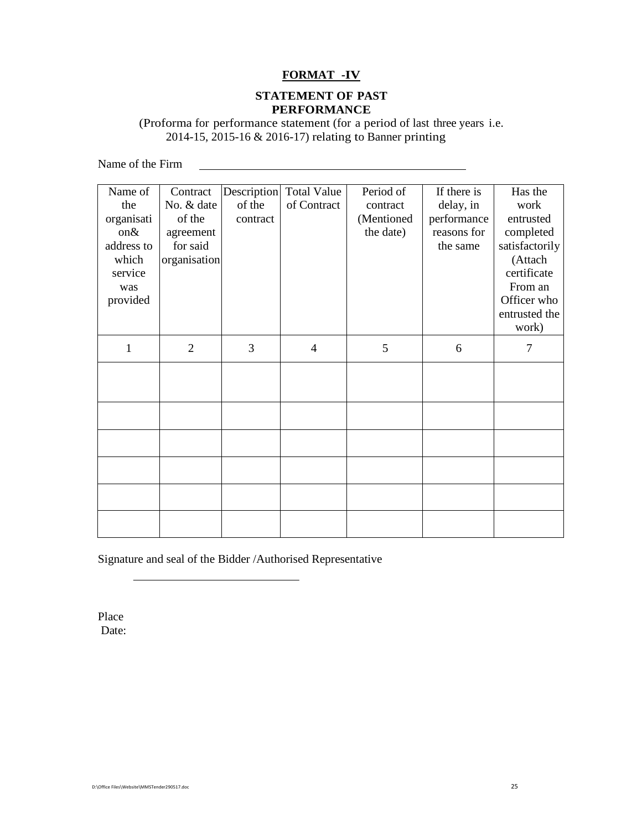## **FORMAT -IV**

## **STATEMENT OF PAST PERFORMANCE**

(Proforma for performance statement (for a period of last three years i.e. 2014-15, 2015-16 & 2016-17) relating to Banner printing

Name of the Firm  $\qquad \qquad$ 

| Name of      | Contract       |          | Description Total Value | Period of  | If there is | Has the        |
|--------------|----------------|----------|-------------------------|------------|-------------|----------------|
| the          | No. & date     | of the   | of Contract             | contract   | delay, in   | work           |
| organisati   | of the         | contract |                         | (Mentioned | performance | entrusted      |
| on&          | agreement      |          |                         | the date)  | reasons for | completed      |
| address to   | for said       |          |                         |            | the same    | satisfactorily |
| which        | organisation   |          |                         |            |             | (Attach        |
| service      |                |          |                         |            |             | certificate    |
| was          |                |          |                         |            |             | From an        |
| provided     |                |          |                         |            |             | Officer who    |
|              |                |          |                         |            |             | entrusted the  |
|              |                |          |                         |            |             | work)          |
| $\mathbf{1}$ | $\overline{2}$ | 3        | $\overline{4}$          | 5          | 6           | 7              |
|              |                |          |                         |            |             |                |
|              |                |          |                         |            |             |                |
|              |                |          |                         |            |             |                |
|              |                |          |                         |            |             |                |
|              |                |          |                         |            |             |                |
|              |                |          |                         |            |             |                |
|              |                |          |                         |            |             |                |
|              |                |          |                         |            |             |                |
|              |                |          |                         |            |             |                |
|              |                |          |                         |            |             |                |
|              |                |          |                         |            |             |                |
|              |                |          |                         |            |             |                |

Signature and seal of the Bidder /Authorised Representative

Place Date: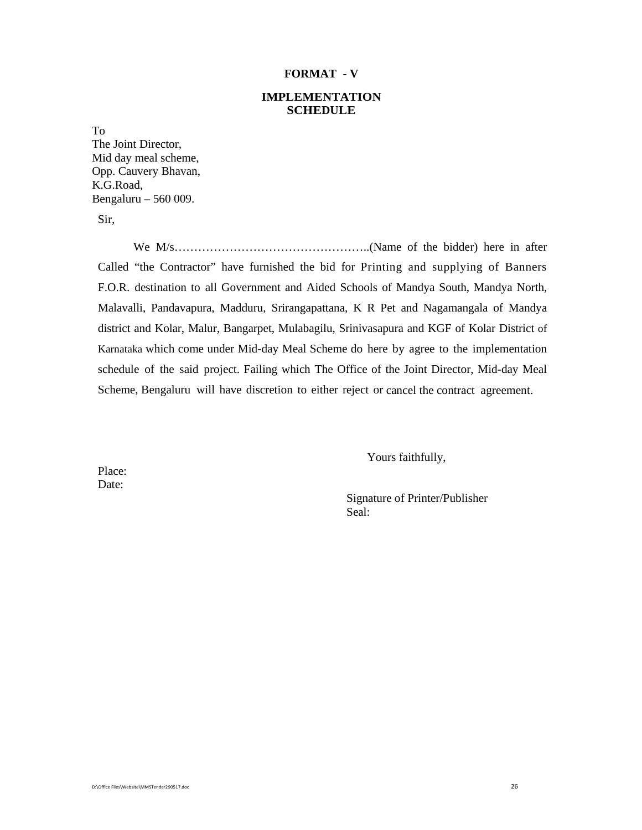#### **FORMAT - V**

## **IMPLEMENTATION SCHEDULE**

To

The Joint Director, Mid day meal scheme, Opp. Cauvery Bhavan, K.G.Road, Bengaluru – 560 009.

Sir,

We M/s…………………………………………..(Name of the bidder) here in after Called "the Contractor" have furnished the bid for Printing and supplying of Banners F.O.R. destination to all Government and Aided Schools of Mandya South, Mandya North, Malavalli, Pandavapura, Madduru, Srirangapattana, K R Pet and Nagamangala of Mandya district and Kolar, Malur, Bangarpet, Mulabagilu, Srinivasapura and KGF of Kolar District of Karnataka which come under Mid-day Meal Scheme do here by agree to the implementation schedule of the said project. Failing which The Office of the Joint Director, Mid-day Meal Scheme, Bengaluru will have discretion to either reject or cancel the contract agreement.

Yours faithfully,

Place: Date:

> Signature of Printer/Publisher Seal: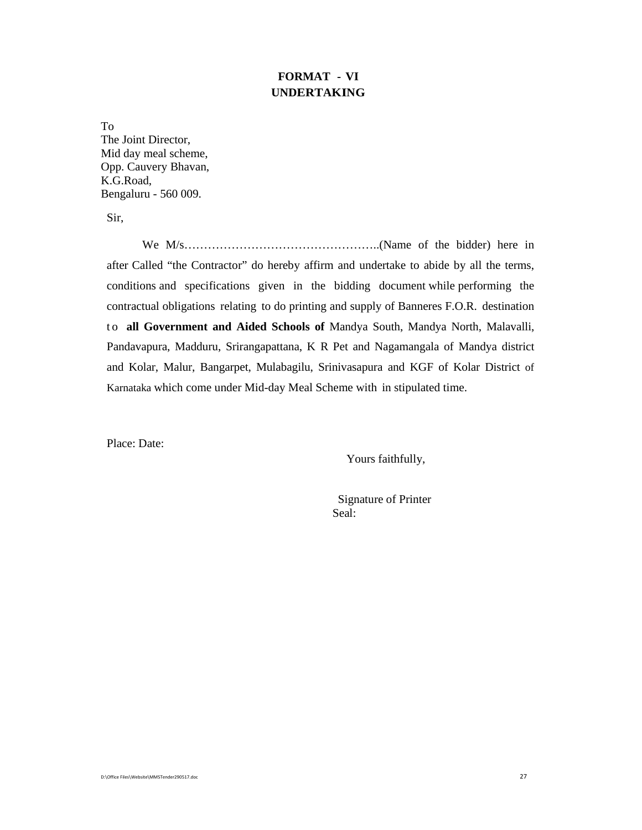# **FORMAT - VI UNDERTAKING**

To The Joint Director, Mid day meal scheme, Opp. Cauvery Bhavan, K.G.Road, Bengaluru - 560 009.

Sir,

We M/s…………………………………………..(Name of the bidder) here in after Called "the Contractor" do hereby affirm and undertake to abide by all the terms, conditions and specifications given in the bidding document while performing the contractual obligations relating to do printing and supply of Banneres F.O.R. destination to **all Government and Aided Schools of** Mandya South, Mandya North, Malavalli, Pandavapura, Madduru, Srirangapattana, K R Pet and Nagamangala of Mandya district and Kolar, Malur, Bangarpet, Mulabagilu, Srinivasapura and KGF of Kolar District of Karnataka which come under Mid-day Meal Scheme with in stipulated time.

Place: Date:

Yours faithfully,

 Signature of Printer Seal: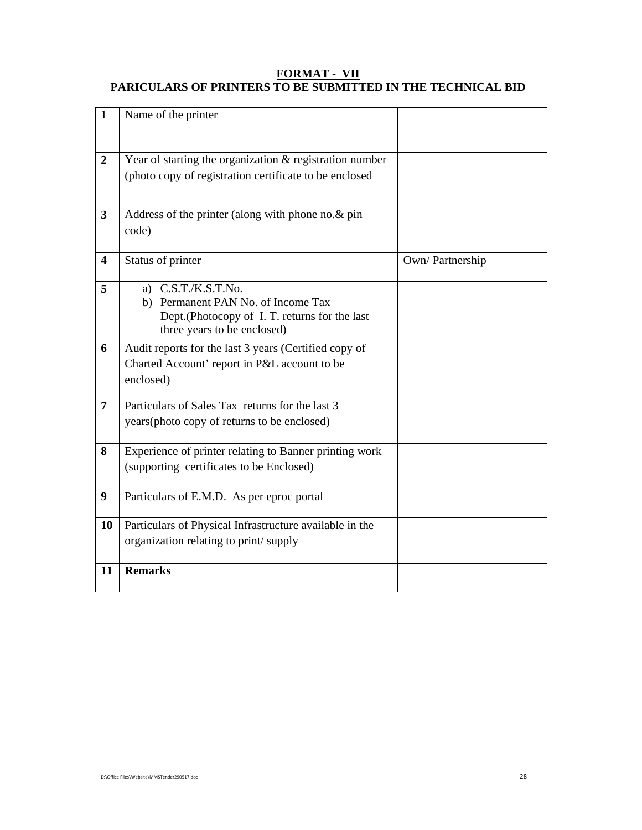## **FORMAT - VII PARICULARS OF PRINTERS TO BE SUBMITTED IN THE TECHNICAL BID**

| $\mathbf{1}$            | Name of the printer                                                                                                                         |                 |
|-------------------------|---------------------------------------------------------------------------------------------------------------------------------------------|-----------------|
|                         |                                                                                                                                             |                 |
| $\boldsymbol{2}$        | Year of starting the organization & registration number                                                                                     |                 |
|                         | (photo copy of registration certificate to be enclosed                                                                                      |                 |
| $\mathbf{3}$            | Address of the printer (along with phone no.& pin<br>code)                                                                                  |                 |
| $\overline{\mathbf{4}}$ | Status of printer                                                                                                                           | Own/Partnership |
| 5                       | a) $C.S.T./K.S.T.No.$<br>b) Permanent PAN No. of Income Tax<br>Dept.(Photocopy of I. T. returns for the last<br>three years to be enclosed) |                 |
| 6                       | Audit reports for the last 3 years (Certified copy of<br>Charted Account' report in P&L account to be<br>enclosed)                          |                 |
| $\overline{7}$          | Particulars of Sales Tax returns for the last 3<br>years (photo copy of returns to be enclosed)                                             |                 |
| 8                       | Experience of printer relating to Banner printing work<br>(supporting certificates to be Enclosed)                                          |                 |
| 9                       | Particulars of E.M.D. As per eproc portal                                                                                                   |                 |
| 10                      | Particulars of Physical Infrastructure available in the                                                                                     |                 |
|                         | organization relating to print/supply                                                                                                       |                 |
| 11                      | <b>Remarks</b>                                                                                                                              |                 |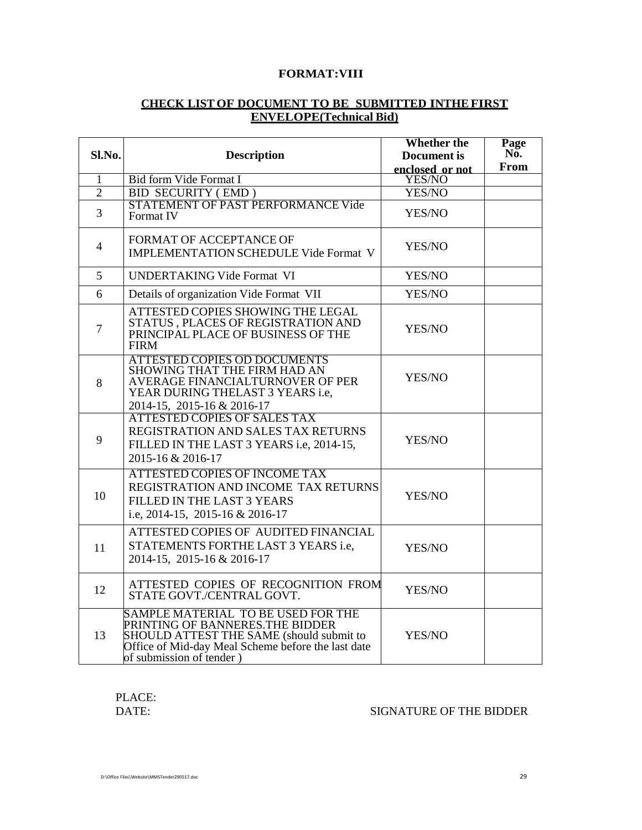## **FORMAT:VIII**

## **CHECK LIST OF DOCUMENT TO BE SUBMITTED INTHE FIRST ENVELOPE(Technical Bid)**

|                |                                                                                                                                                                                                     | <b>Whether the</b> | Page |
|----------------|-----------------------------------------------------------------------------------------------------------------------------------------------------------------------------------------------------|--------------------|------|
| Sl.No.         | <b>Description</b>                                                                                                                                                                                  | <b>Document</b> is | No.  |
|                |                                                                                                                                                                                                     | enclosed or not    | From |
| 1              | <b>Bid form Vide Format I</b>                                                                                                                                                                       | <b>YES/NO</b>      |      |
| $\overline{2}$ | <b>BID SECURITY (EMD)</b>                                                                                                                                                                           | YES/NO             |      |
| $\overline{3}$ | STATEMENT OF PAST PERFORMANCE Vide<br>Format IV                                                                                                                                                     | YES/NO             |      |
| $\overline{4}$ | FORMAT OF ACCEPTANCE OF<br><b>IMPLEMENTATION SCHEDULE Vide Format V</b>                                                                                                                             | YES/NO             |      |
| 5              | <b>UNDERTAKING Vide Format VI</b>                                                                                                                                                                   | YES/NO             |      |
| 6              | Details of organization Vide Format VII                                                                                                                                                             | YES/NO             |      |
| $\tau$         | ATTESTED COPIES SHOWING THE LEGAL<br>STATUS, PLACES OF REGISTRATION AND<br>PRINCIPAL PLACE OF BUSINESS OF THE<br><b>FIRM</b>                                                                        | YES/NO             |      |
| 8              | <b>ATTESTED COPIES OD DOCUMENTS</b><br>SHOWING THAT THE FIRM HAD AN<br>AVERAGE FINANCIALTURNOVER OF PER<br>YEAR DURING THELAST 3 YEARS i.e,<br>2014-15, 2015-16 & 2016-17                           | YES/NO             |      |
| 9              | <b>ATTESTED COPIES OF SALES TAX</b><br>REGISTRATION AND SALES TAX RETURNS<br>FILLED IN THE LAST 3 YEARS i.e, 2014-15,<br>2015-16 & 2016-17                                                          | YES/NO             |      |
| 10             | <b>ATTESTED COPIES OF INCOME TAX</b><br>REGISTRATION AND INCOME TAX RETURNS<br>FILLED IN THE LAST 3 YEARS<br>i.e, 2014-15, 2015-16 & 2016-17                                                        | YES/NO             |      |
| 11             | ATTESTED COPIES OF AUDITED FINANCIAL<br>STATEMENTS FORTHE LAST 3 YEARS i.e,<br>2014-15, 2015-16 & 2016-17                                                                                           | YES/NO             |      |
| 12             | ATTESTED COPIES OF RECOGNITION FROM<br>STATE GOVT./CENTRAL GOVT.                                                                                                                                    | YES/NO             |      |
| 13             | SAMPLE MATERIAL TO BE USED FOR THE<br>PRINTING OF BANNERES.THE BIDDER<br>SHOULD ATTEST THE SAME (should submit to<br>Office of Mid-day Meal Scheme before the last date<br>of submission of tender) | YES/NO             |      |

PLACE:<br>DATE:

## SIGNATURE OF THE BIDDER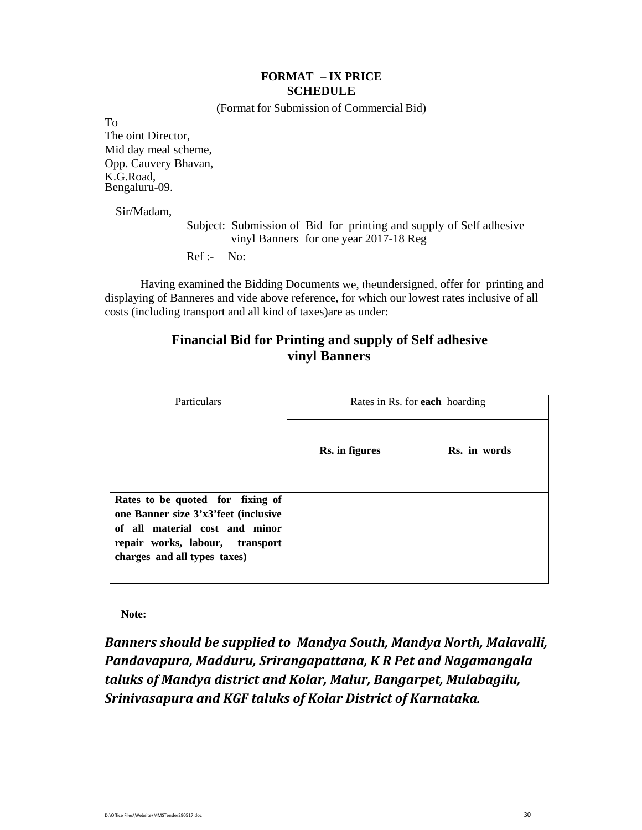## **FORMAT – IX PRICE SCHEDULE**

(Format for Submission of Commercial Bid)

To The oint Director, Mid day meal scheme, Opp. Cauvery Bhavan, K.G.Road, Bengaluru-09.

Sir/Madam,

Subject: Submission of Bid for printing and supply of Self adhesive vinyl Banners for one year 2017-18 Reg

Ref :- No:

Having examined the Bidding Documents we, theundersigned, offer for printing and displaying of Banneres and vide above reference, for which our lowest rates inclusive of all costs (including transport and all kind of taxes)are as under:

# **Financial Bid for Printing and supply of Self adhesive vinyl Banners**

| Particulars                                                                                                                                                                   | Rates in Rs. for <b>each</b> hoarding |              |  |
|-------------------------------------------------------------------------------------------------------------------------------------------------------------------------------|---------------------------------------|--------------|--|
|                                                                                                                                                                               | Rs. in figures                        | Rs. in words |  |
| Rates to be quoted for fixing of<br>one Banner size 3'x3'feet (inclusive<br>of all material cost and minor<br>repair works, labour, transport<br>charges and all types taxes) |                                       |              |  |

 **Note:**

*Banners should be supplied to Mandya South, Mandya North, Malavalli, Pandavapura, Madduru, Srirangapattana, K R Pet and Nagamangala taluks of Mandya district and Kolar, Malur, Bangarpet, Mulabagilu, Srinivasapura and KGF taluks of Kolar District of Karnataka.*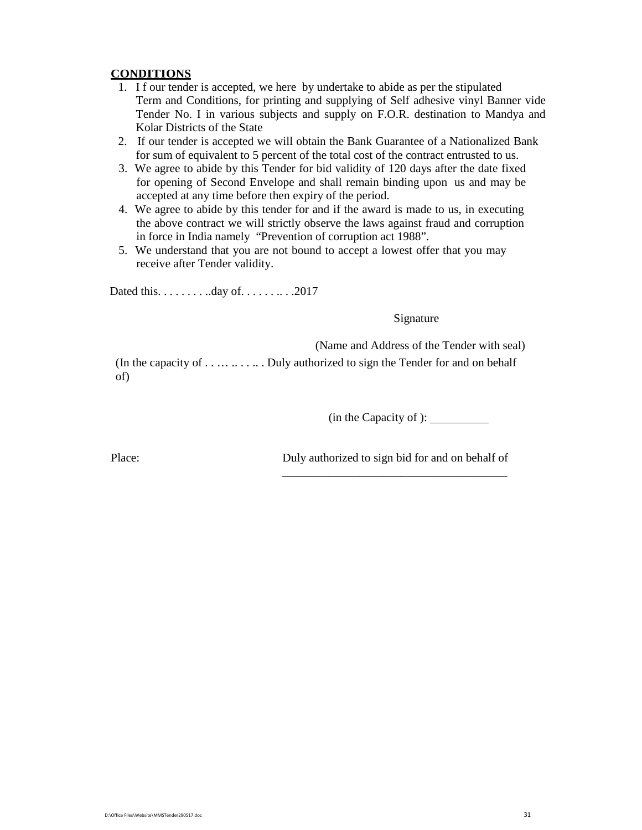## **CONDITIONS**

- 1. I f our tender is accepted, we here by undertake to abide as per the stipulated Term and Conditions, for printing and supplying of Self adhesive vinyl Banner vide Tender No. I in various subjects and supply on F.O.R. destination to Mandya and Kolar Districts of the State
- 2. If our tender is accepted we will obtain the Bank Guarantee of a Nationalized Bank for sum of equivalent to 5 percent of the total cost of the contract entrusted to us.
- 3. We agree to abide by this Tender for bid validity of 120 days after the date fixed for opening of Second Envelope and shall remain binding upon us and may be accepted at any time before then expiry of the period.
- 4. We agree to abide by this tender for and if the award is made to us, in executing the above contract we will strictly observe the laws against fraud and corruption in force in India namely "Prevention of corruption act 1988".
- 5. We understand that you are not bound to accept a lowest offer that you may receive after Tender validity.

Dated this. . . . . . . . ..day of. . . . . . .. . .2017

Signature

(Name and Address of the Tender with seal)

(In the capacity of . . . . . . . . . . . Duly authorized to sign the Tender for and on behalf of)

 $\overline{\phantom{a}}$  , which is a set of the set of the set of the set of the set of the set of the set of the set of the set of the set of the set of the set of the set of the set of the set of the set of the set of the set of th

(in the Capacity of ):

Place: Duly authorized to sign bid for and on behalf of